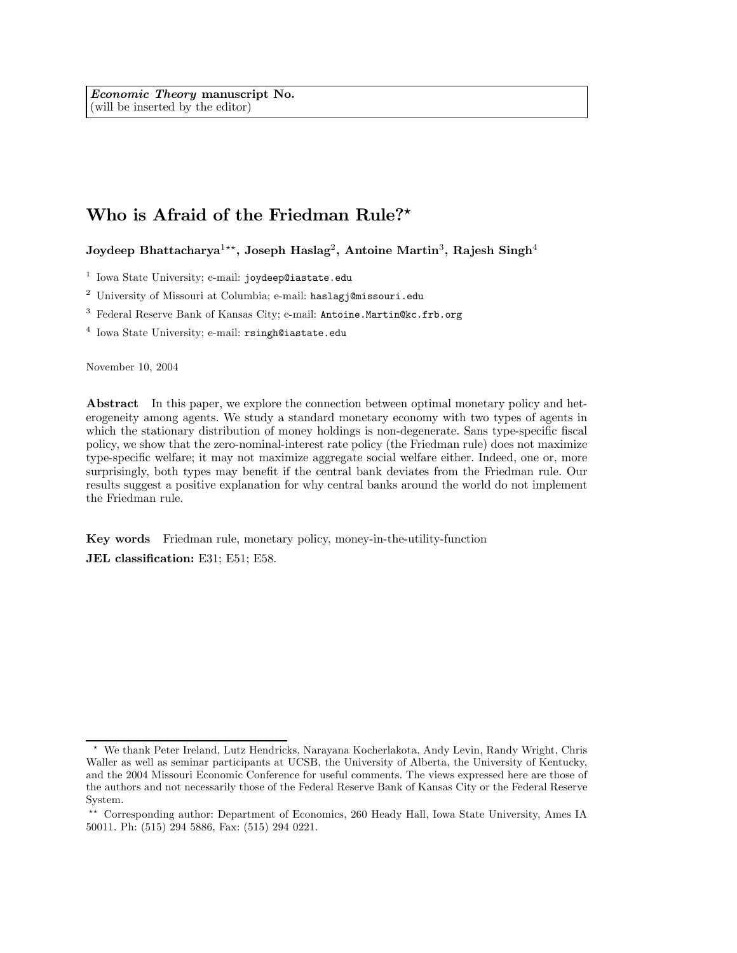# Who is Afraid of the Friedman Rule?\*

Joydeep Bhattacharya<sup>1\*\*</sup>, Joseph Haslag<sup>2</sup>, Antoine Martin<sup>3</sup>, Rajesh Singh<sup>4</sup>

<sup>1</sup> Iowa State University; e-mail: joydeep@iastate.edu

<sup>2</sup> University of Missouri at Columbia; e-mail: haslagj@missouri.edu

<sup>3</sup> Federal Reserve Bank of Kansas City; e-mail: Antoine.Martin@kc.frb.org

<sup>4</sup> Iowa State University; e-mail: rsingh@iastate.edu

November 10, 2004

Abstract In this paper, we explore the connection between optimal monetary policy and heterogeneity among agents. We study a standard monetary economy with two types of agents in which the stationary distribution of money holdings is non-degenerate. Sans type-specific fiscal policy, we show that the zero-nominal-interest rate policy (the Friedman rule) does not maximize type-specific welfare; it may not maximize aggregate social welfare either. Indeed, one or, more surprisingly, both types may benefit if the central bank deviates from the Friedman rule. Our results suggest a positive explanation for why central banks around the world do not implement the Friedman rule.

Key words Friedman rule, monetary policy, money-in-the-utility-function

JEL classification: E31; E51; E58.

<sup>\*</sup> We thank Peter Ireland, Lutz Hendricks, Narayana Kocherlakota, Andy Levin, Randy Wright, Chris Waller as well as seminar participants at UCSB, the University of Alberta, the University of Kentucky, and the 2004 Missouri Economic Conference for useful comments. The views expressed here are those of the authors and not necessarily those of the Federal Reserve Bank of Kansas City or the Federal Reserve System.

<sup>\*\*</sup> Corresponding author: Department of Economics, 260 Heady Hall, Iowa State University, Ames IA 50011. Ph: (515) 294 5886, Fax: (515) 294 0221.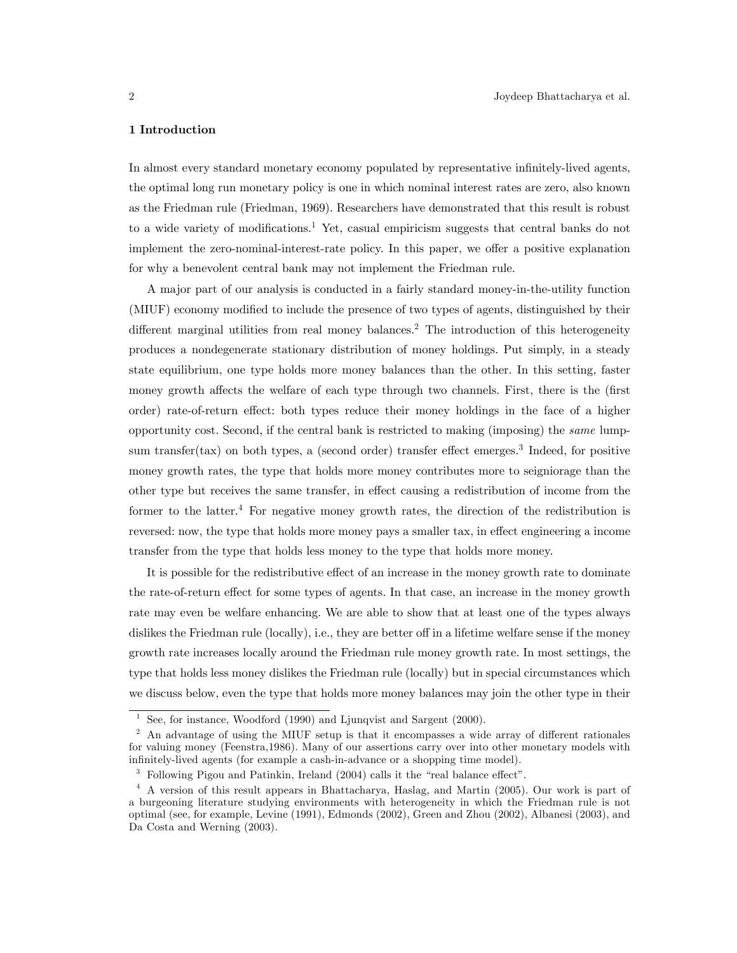# 1 Introduction

In almost every standard monetary economy populated by representative infinitely-lived agents, the optimal long run monetary policy is one in which nominal interest rates are zero, also known as the Friedman rule (Friedman, 1969). Researchers have demonstrated that this result is robust to a wide variety of modifications.1 Yet, casual empiricism suggests that central banks do not implement the zero-nominal-interest-rate policy. In this paper, we offer a positive explanation for why a benevolent central bank may not implement the Friedman rule.

A major part of our analysis is conducted in a fairly standard money-in-the-utility function (MIUF) economy modified to include the presence of two types of agents, distinguished by their different marginal utilities from real money balances.<sup>2</sup> The introduction of this heterogeneity produces a nondegenerate stationary distribution of money holdings. Put simply, in a steady state equilibrium, one type holds more money balances than the other. In this setting, faster money growth affects the welfare of each type through two channels. First, there is the (first order) rate-of-return effect: both types reduce their money holdings in the face of a higher opportunity cost. Second, if the central bank is restricted to making (imposing) the same lumpsum transfer(tax) on both types, a (second order) transfer effect emerges.<sup>3</sup> Indeed, for positive money growth rates, the type that holds more money contributes more to seigniorage than the other type but receives the same transfer, in effect causing a redistribution of income from the former to the latter.4 For negative money growth rates, the direction of the redistribution is reversed: now, the type that holds more money pays a smaller tax, in effect engineering a income transfer from the type that holds less money to the type that holds more money.

It is possible for the redistributive effect of an increase in the money growth rate to dominate the rate-of-return effect for some types of agents. In that case, an increase in the money growth rate may even be welfare enhancing. We are able to show that at least one of the types always dislikes the Friedman rule (locally), i.e., they are better off in a lifetime welfare sense if the money growth rate increases locally around the Friedman rule money growth rate. In most settings, the type that holds less money dislikes the Friedman rule (locally) but in special circumstances which we discuss below, even the type that holds more money balances may join the other type in their

<sup>&</sup>lt;sup>1</sup> See, for instance, Woodford (1990) and Ljunqvist and Sargent (2000).

<sup>&</sup>lt;sup>2</sup> An advantage of using the MIUF setup is that it encompasses a wide array of different rationales for valuing money (Feenstra,1986). Many of our assertions carry over into other monetary models with infinitely-lived agents (for example a cash-in-advance or a shopping time model).

<sup>3</sup> Following Pigou and Patinkin, Ireland (2004) calls it the "real balance effect".

<sup>4</sup> A version of this result appears in Bhattacharya, Haslag, and Martin (2005). Our work is part of a burgeoning literature studying environments with heterogeneity in which the Friedman rule is not optimal (see, for example, Levine (1991), Edmonds (2002), Green and Zhou (2002), Albanesi (2003), and Da Costa and Werning (2003).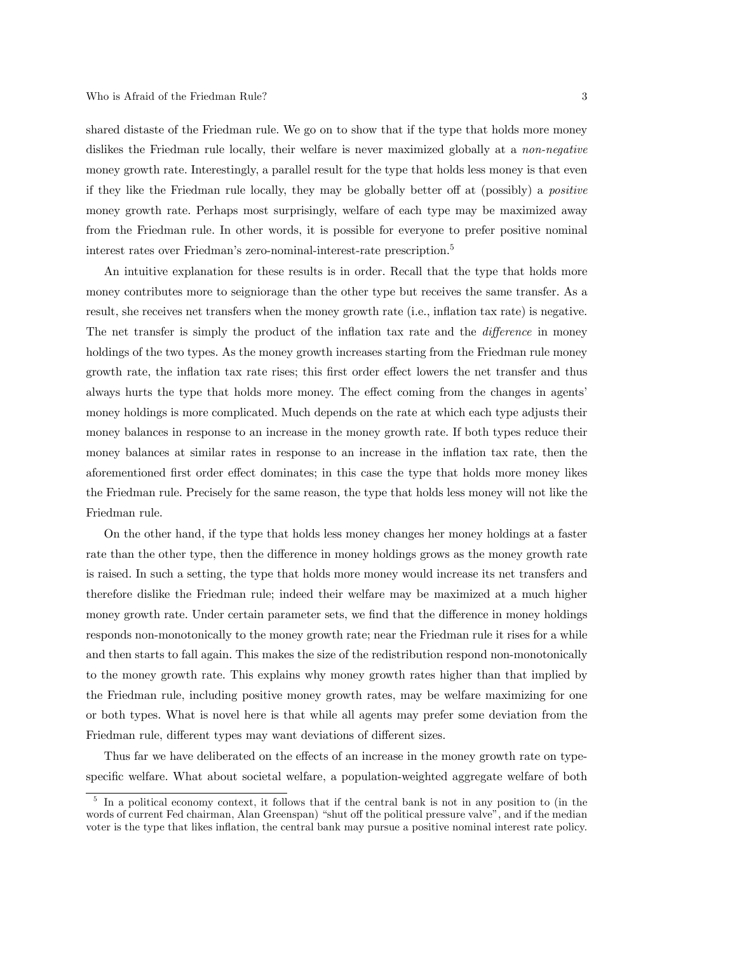shared distaste of the Friedman rule. We go on to show that if the type that holds more money dislikes the Friedman rule locally, their welfare is never maximized globally at a non-negative money growth rate. Interestingly, a parallel result for the type that holds less money is that even if they like the Friedman rule locally, they may be globally better off at (possibly) a positive money growth rate. Perhaps most surprisingly, welfare of each type may be maximized away from the Friedman rule. In other words, it is possible for everyone to prefer positive nominal interest rates over Friedman's zero-nominal-interest-rate prescription.<sup>5</sup>

An intuitive explanation for these results is in order. Recall that the type that holds more money contributes more to seigniorage than the other type but receives the same transfer. As a result, she receives net transfers when the money growth rate (i.e., inflation tax rate) is negative. The net transfer is simply the product of the inflation tax rate and the *difference* in money holdings of the two types. As the money growth increases starting from the Friedman rule money growth rate, the inflation tax rate rises; this first order effect lowers the net transfer and thus always hurts the type that holds more money. The effect coming from the changes in agents' money holdings is more complicated. Much depends on the rate at which each type adjusts their money balances in response to an increase in the money growth rate. If both types reduce their money balances at similar rates in response to an increase in the inflation tax rate, then the aforementioned first order effect dominates; in this case the type that holds more money likes the Friedman rule. Precisely for the same reason, the type that holds less money will not like the Friedman rule.

On the other hand, if the type that holds less money changes her money holdings at a faster rate than the other type, then the difference in money holdings grows as the money growth rate is raised. In such a setting, the type that holds more money would increase its net transfers and therefore dislike the Friedman rule; indeed their welfare may be maximized at a much higher money growth rate. Under certain parameter sets, we find that the difference in money holdings responds non-monotonically to the money growth rate; near the Friedman rule it rises for a while and then starts to fall again. This makes the size of the redistribution respond non-monotonically to the money growth rate. This explains why money growth rates higher than that implied by the Friedman rule, including positive money growth rates, may be welfare maximizing for one or both types. What is novel here is that while all agents may prefer some deviation from the Friedman rule, different types may want deviations of different sizes.

Thus far we have deliberated on the effects of an increase in the money growth rate on typespecific welfare. What about societal welfare, a population-weighted aggregate welfare of both

<sup>&</sup>lt;sup>5</sup> In a political economy context, it follows that if the central bank is not in any position to (in the words of current Fed chairman, Alan Greenspan) "shut off the political pressure valve", and if the median voter is the type that likes inflation, the central bank may pursue a positive nominal interest rate policy.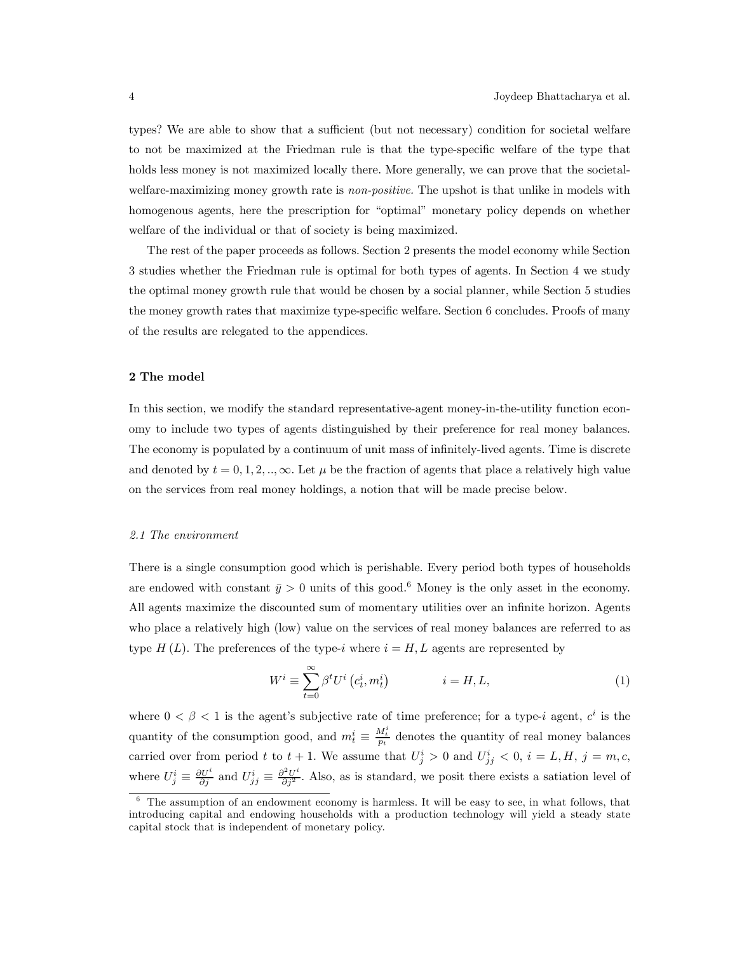types? We are able to show that a sufficient (but not necessary) condition for societal welfare to not be maximized at the Friedman rule is that the type-specific welfare of the type that holds less money is not maximized locally there. More generally, we can prove that the societalwelfare-maximizing money growth rate is *non-positive*. The upshot is that unlike in models with homogenous agents, here the prescription for "optimal" monetary policy depends on whether welfare of the individual or that of society is being maximized.

The rest of the paper proceeds as follows. Section 2 presents the model economy while Section 3 studies whether the Friedman rule is optimal for both types of agents. In Section 4 we study the optimal money growth rule that would be chosen by a social planner, while Section 5 studies the money growth rates that maximize type-specific welfare. Section 6 concludes. Proofs of many of the results are relegated to the appendices.

# 2 The model

In this section, we modify the standard representative-agent money-in-the-utility function economy to include two types of agents distinguished by their preference for real money balances. The economy is populated by a continuum of unit mass of infinitely-lived agents. Time is discrete and denoted by  $t = 0, 1, 2, \dots, \infty$ . Let  $\mu$  be the fraction of agents that place a relatively high value on the services from real money holdings, a notion that will be made precise below.

# 2.1 The environment

There is a single consumption good which is perishable. Every period both types of households are endowed with constant  $\bar{y} > 0$  units of this good.<sup>6</sup> Money is the only asset in the economy. All agents maximize the discounted sum of momentary utilities over an infinite horizon. Agents who place a relatively high (low) value on the services of real money balances are referred to as type  $H(L)$ . The preferences of the type-i where  $i = H, L$  agents are represented by

$$
W^{i} \equiv \sum_{t=0}^{\infty} \beta^{t} U^{i} \left( c_{t}^{i}, m_{t}^{i} \right) \qquad i = H, L,
$$
\n<sup>(1)</sup>

where  $0 < \beta < 1$  is the agent's subjective rate of time preference; for a type-i agent,  $c^i$  is the quantity of the consumption good, and  $m_t^i \equiv \frac{M_t^i}{p_t}$  denotes the quantity of real money balances carried over from period t to  $t + 1$ . We assume that  $U_j^i > 0$  and  $U_{jj}^i < 0$ ,  $i = L, H, j = m, c$ , where  $U_j^i \equiv \frac{\partial U^i}{\partial j}$  and  $U_{jj}^i \equiv \frac{\partial^2 U^i}{\partial j^2}$ . Also, as is standard, we posit there exists a satiation level of

 $6\text{ The assumption of an endowment economy is harmless. It will be easy to see, in what follows, that$ introducing capital and endowing households with a production technology will yield a steady state capital stock that is independent of monetary policy.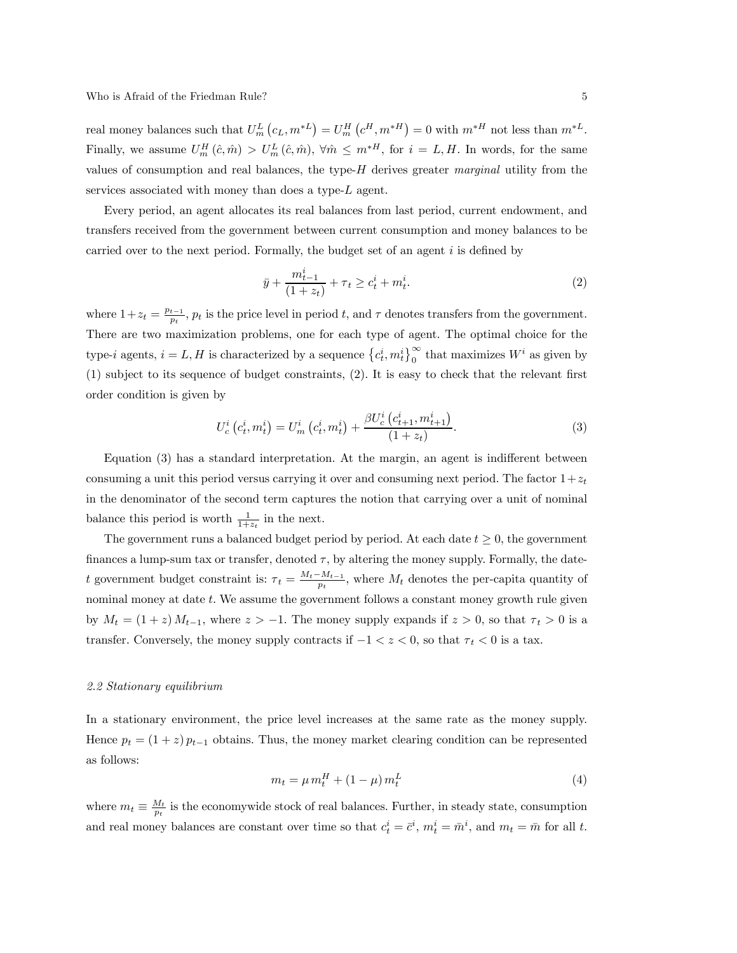real money balances such that  $U_m^L(c_L, m^{*L}) = U_m^H(c^H, m^{*H}) = 0$  with  $m^{*H}$  not less than  $m^{*L}$ . Finally, we assume  $U_m^H(\hat{c}, \hat{m}) > U_m^L(\hat{c}, \hat{m})$ ,  $\forall \hat{m} \leq m^{*H}$ , for  $i = L, H$ . In words, for the same values of consumption and real balances, the type- $H$  derives greater marginal utility from the services associated with money than does a type-L agent.

Every period, an agent allocates its real balances from last period, current endowment, and transfers received from the government between current consumption and money balances to be carried over to the next period. Formally, the budget set of an agent  $i$  is defined by

$$
\bar{y} + \frac{m_{t-1}^i}{(1+z_t)} + \tau_t \ge c_t^i + m_t^i.
$$
\n(2)

where  $1+z_t = \frac{p_{t-1}}{p_t}$ ,  $p_t$  is the price level in period t, and  $\tau$  denotes transfers from the government. There are two maximization problems, one for each type of agent. The optimal choice for the type-*i* agents,  $i = L, H$  is characterized by a sequence  $\{c_t^i, m_t^i\}_{0}^{\infty}$  that maximizes  $W^i$  as given by (1) subject to its sequence of budget constraints, (2). It is easy to check that the relevant first order condition is given by

$$
U_c^i(c_t^i, m_t^i) = U_m^i(c_t^i, m_t^i) + \frac{\beta U_c^i(c_{t+1}^i, m_{t+1}^i)}{(1+z_t)}.
$$
\n(3)

Equation (3) has a standard interpretation. At the margin, an agent is indifferent between consuming a unit this period versus carrying it over and consuming next period. The factor  $1+z_t$ in the denominator of the second term captures the notion that carrying over a unit of nominal balance this period is worth  $\frac{1}{1+z_t}$  in the next.

The government runs a balanced budget period by period. At each date  $t \geq 0$ , the government finances a lump-sum tax or transfer, denoted  $\tau$ , by altering the money supply. Formally, the datet government budget constraint is:  $\tau_t = \frac{M_t - M_{t-1}}{p_t}$ , where  $M_t$  denotes the per-capita quantity of nominal money at date t. We assume the government follows a constant money growth rule given by  $M_t = (1+z) M_{t-1}$ , where  $z > -1$ . The money supply expands if  $z > 0$ , so that  $\tau_t > 0$  is a transfer. Conversely, the money supply contracts if  $-1 < z < 0$ , so that  $\tau_t < 0$  is a tax.

# 2.2 Stationary equilibrium

In a stationary environment, the price level increases at the same rate as the money supply. Hence  $p_t = (1 + z) p_{t-1}$  obtains. Thus, the money market clearing condition can be represented as follows:

$$
m_t = \mu m_t^H + (1 - \mu) m_t^L \tag{4}
$$

where  $m_t \equiv \frac{M_t}{p_t}$  is the economywide stock of real balances. Further, in steady state, consumption and real money balances are constant over time so that  $c_t^i = \bar{c}^i$ ,  $m_t^i = \bar{m}^i$ , and  $m_t = \bar{m}$  for all t.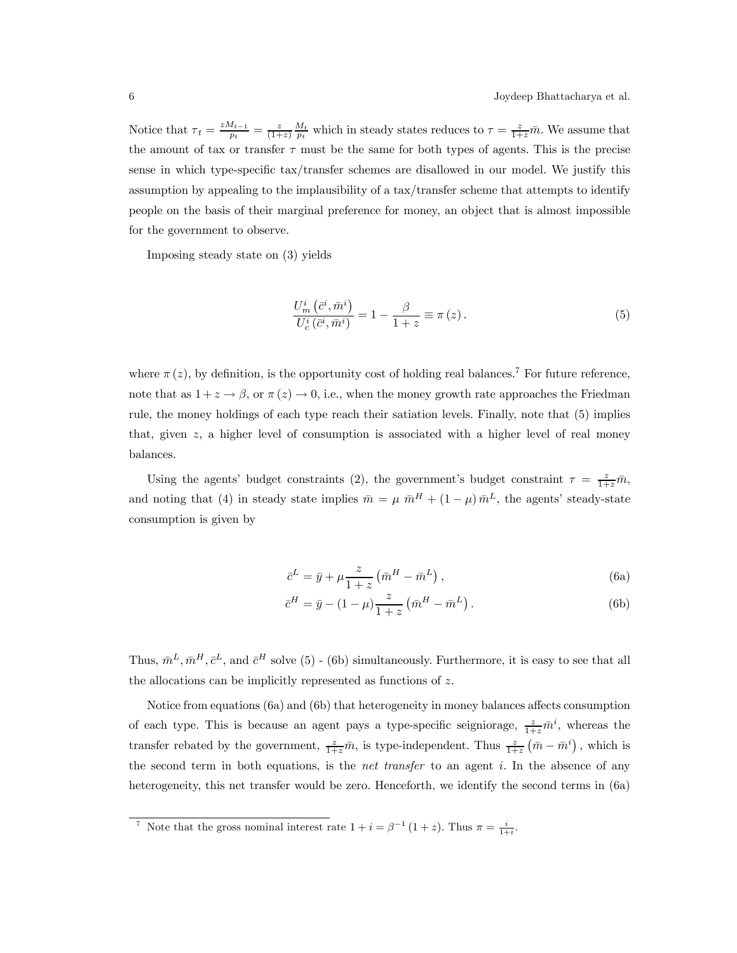Notice that  $\tau_t = \frac{zM_{t-1}}{p_t} = \frac{z}{(1+z)} \frac{M_t}{p_t}$  which in steady states reduces to  $\tau = \frac{z}{1+z} \bar{m}$ . We assume that the amount of tax or transfer  $\tau$  must be the same for both types of agents. This is the precise sense in which type-specific tax/transfer schemes are disallowed in our model. We justify this assumption by appealing to the implausibility of a tax/transfer scheme that attempts to identify people on the basis of their marginal preference for money, an object that is almost impossible for the government to observe.

Imposing steady state on (3) yields

$$
\frac{U_m^i(\bar{c}^i, \bar{m}^i)}{U_c^i(\bar{c}^i, \bar{m}^i)} = 1 - \frac{\beta}{1+z} \equiv \pi(z). \tag{5}
$$

where  $\pi(z)$ , by definition, is the opportunity cost of holding real balances.<sup>7</sup> For future reference, note that as  $1 + z \rightarrow \beta$ , or  $\pi(z) \rightarrow 0$ , i.e., when the money growth rate approaches the Friedman rule, the money holdings of each type reach their satiation levels. Finally, note that (5) implies that, given  $z$ , a higher level of consumption is associated with a higher level of real money balances.

Using the agents' budget constraints (2), the government's budget constraint  $\tau = \frac{z}{1+z}\bar{m}$ , and noting that (4) in steady state implies  $\bar{m} = \mu \bar{m}^H + (1 - \mu) \bar{m}^L$ , the agents' steady-state consumption is given by

$$
\bar{c}^L = \bar{y} + \mu \frac{z}{1+z} \left( \bar{m}^H - \bar{m}^L \right),\tag{6a}
$$

$$
\bar{c}^{H} = \bar{y} - (1 - \mu) \frac{z}{1 + z} (\bar{m}^{H} - \bar{m}^{L}).
$$
 (6b)

Thus,  $\bar{m}^L, \bar{m}^H, \bar{c}^L$ , and  $\bar{c}^H$  solve (5) - (6b) simultaneously. Furthermore, it is easy to see that all the allocations can be implicitly represented as functions of z.

Notice from equations (6a) and (6b) that heterogeneity in money balances affects consumption of each type. This is because an agent pays a type-specific seigniorage,  $\frac{z}{1+z}\bar{m}^i$ , whereas the transfer rebated by the government,  $\frac{z}{1+z}\bar{m}$ , is type-independent. Thus  $\frac{z}{1+z}(\bar{m}-\bar{m}^i)$ , which is the second term in both equations, is the *net transfer* to an agent i. In the absence of any heterogeneity, this net transfer would be zero. Henceforth, we identify the second terms in (6a)

<sup>&</sup>lt;sup>7</sup> Note that the gross nominal interest rate  $1 + i = \beta^{-1} (1 + z)$ . Thus  $\pi = \frac{i}{1+i}$ .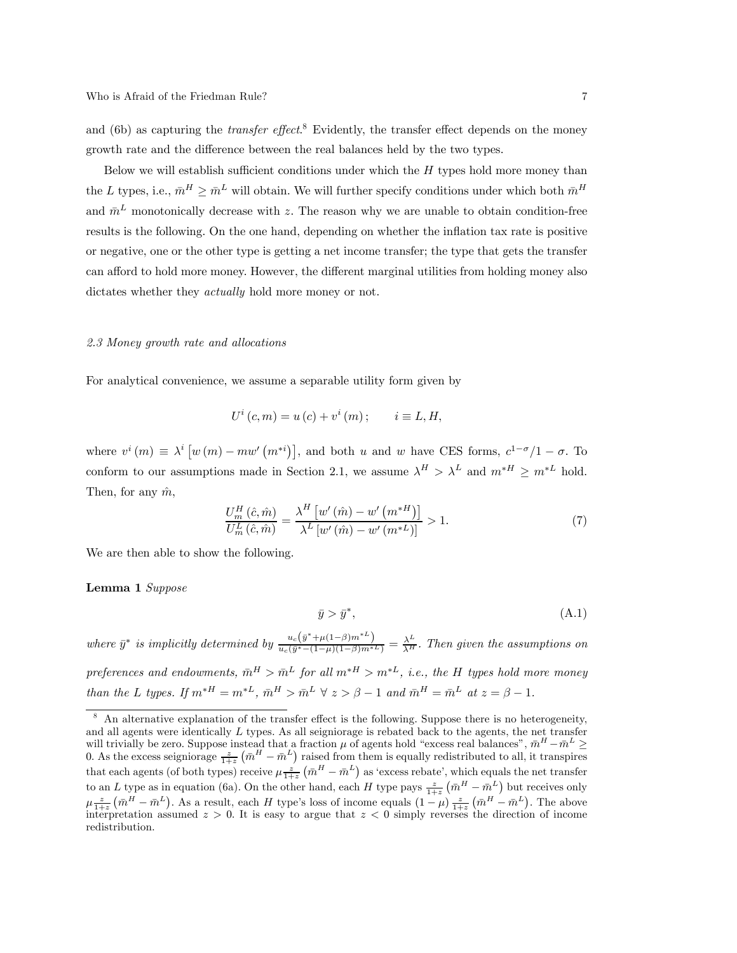and (6b) as capturing the *transfer effect*.<sup>8</sup> Evidently, the transfer effect depends on the money growth rate and the difference between the real balances held by the two types.

Below we will establish sufficient conditions under which the  $H$  types hold more money than the L types, i.e.,  $\bar{m}^H \geq \bar{m}^L$  will obtain. We will further specify conditions under which both  $\bar{m}^H$ and  $\bar{m}^L$  monotonically decrease with z. The reason why we are unable to obtain condition-free results is the following. On the one hand, depending on whether the inflation tax rate is positive or negative, one or the other type is getting a net income transfer; the type that gets the transfer can afford to hold more money. However, the different marginal utilities from holding money also dictates whether they *actually* hold more money or not.

## 2.3 Money growth rate and allocations

For analytical convenience, we assume a separable utility form given by

$$
U^{i}(c,m) = u(c) + v^{i}(m); \qquad i \equiv L, H,
$$

where  $v^i(m) \equiv \lambda^i \left[ w(m) - mw'(m^{*i}) \right]$ , and both u and w have CES forms,  $c^{1-\sigma}/1 - \sigma$ . To conform to our assumptions made in Section 2.1, we assume  $\lambda^H > \lambda^L$  and  $m^*$ <sup>H</sup> ≥  $m^*$ <sup>L</sup> hold. Then, for any  $\hat{m}$ ,

$$
\frac{U_m^H\left(\hat{c},\hat{m}\right)}{U_m^L\left(\hat{c},\hat{m}\right)} = \frac{\lambda^H\left[w'\left(\hat{m}\right) - w'\left(m^{*H}\right)\right]}{\lambda^L\left[w'\left(\hat{m}\right) - w'\left(m^{*L}\right)\right]} > 1.
$$
\n(7)

We are then able to show the following.

#### Lemma 1 Suppose

$$
\bar{y} > \bar{y}^*,\tag{A.1}
$$

where  $\bar{y}^*$  is implicitly determined by  $\frac{u_c(\bar{y}^*+\mu(1-\beta)m^*L)}{u_c(\bar{y}^*-(1-\mu)(1-\beta)m^*L)} = \frac{\lambda^L}{\lambda^H}$ . Then given the assumptions on

preferences and endowments,  $\bar{m}^H > \bar{m}^L$  for all  $m^*$   $> m^*$ , i.e., the H types hold more money than the L types. If  $m^{*H} = m^{*L}$ ,  $\bar{m}^H > \bar{m}^L \forall z > \beta - 1$  and  $\bar{m}^H = \bar{m}^L$  at  $z = \beta - 1$ .

<sup>8</sup> An alternative explanation of the transfer effect is the following. Suppose there is no heterogeneity, and all agents were identically L types. As all seigniorage is rebated back to the agents, the net transfer will trivially be zero. Suppose instead that a fraction  $\mu$  of agents hold "excess real balances",  $\bar{m}^H - \bar{m}^L \ge$ <br>0. As the excess seigniorage  $\frac{z}{1+z}(\bar{m}^H - \bar{m}^L)$  raised from them is equally redistributed to that each agents (of both types) receive  $\mu \frac{z}{1+z} (\bar{m}^H - \bar{m}^L)$  as 'excess rebate', which equals the net transfer to an L type as in equation (6a). On the other hand, each H type pays  $\frac{z}{1+z}(\bar{m}^H - \bar{m}^L)$  but receives only  $\mu \frac{z}{1+z} \left( \bar{m}^H - \bar{m}^L \right)$ . As a result, each H type's loss of income equals  $(1-\mu) \frac{z}{1+z} \left( \bar{m}^H - \bar{m}^L \right)$ . The above interpretation assumed  $z > 0$ . It is easy to argue that  $z < 0$  simply reverses the direction of income redistribution.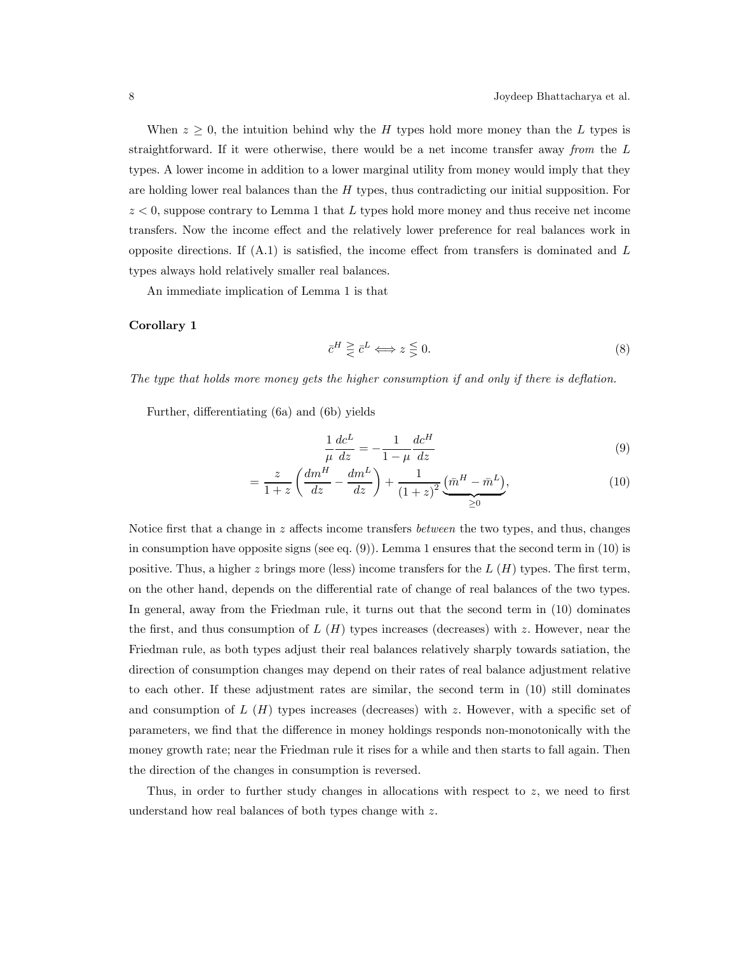When  $z \geq 0$ , the intuition behind why the H types hold more money than the L types is straightforward. If it were otherwise, there would be a net income transfer away from the L types. A lower income in addition to a lower marginal utility from money would imply that they are holding lower real balances than the H types, thus contradicting our initial supposition. For  $z < 0$ , suppose contrary to Lemma 1 that L types hold more money and thus receive net income transfers. Now the income effect and the relatively lower preference for real balances work in opposite directions. If  $(A.1)$  is satisfied, the income effect from transfers is dominated and  $L$ types always hold relatively smaller real balances.

An immediate implication of Lemma 1 is that

# Corollary 1

$$
\bar{c}^H \ge \bar{c}^L \Longleftrightarrow z \le 0. \tag{8}
$$

The type that holds more money gets the higher consumption if and only if there is deflation.

Further, differentiating (6a) and (6b) yields

$$
\frac{1}{\mu}\frac{dc^L}{dz} = -\frac{1}{1-\mu}\frac{dc^H}{dz}
$$
\n(9)

$$
= \frac{z}{1+z} \left( \frac{dm^H}{dz} - \frac{dm^L}{dz} \right) + \frac{1}{(1+z)^2} \underbrace{(\bar{m}^H - \bar{m}^L)}_{\geq 0},\tag{10}
$$

Notice first that a change in  $z$  affects income transfers *between* the two types, and thus, changes in consumption have opposite signs (see eq.  $(9)$ ). Lemma 1 ensures that the second term in  $(10)$  is positive. Thus, a higher z brings more (less) income transfers for the  $L(H)$  types. The first term, on the other hand, depends on the differential rate of change of real balances of the two types. In general, away from the Friedman rule, it turns out that the second term in (10) dominates the first, and thus consumption of  $L(H)$  types increases (decreases) with z. However, near the Friedman rule, as both types adjust their real balances relatively sharply towards satiation, the direction of consumption changes may depend on their rates of real balance adjustment relative to each other. If these adjustment rates are similar, the second term in (10) still dominates and consumption of  $L(H)$  types increases (decreases) with z. However, with a specific set of parameters, we find that the difference in money holdings responds non-monotonically with the money growth rate; near the Friedman rule it rises for a while and then starts to fall again. Then the direction of the changes in consumption is reversed.

Thus, in order to further study changes in allocations with respect to z, we need to first understand how real balances of both types change with z.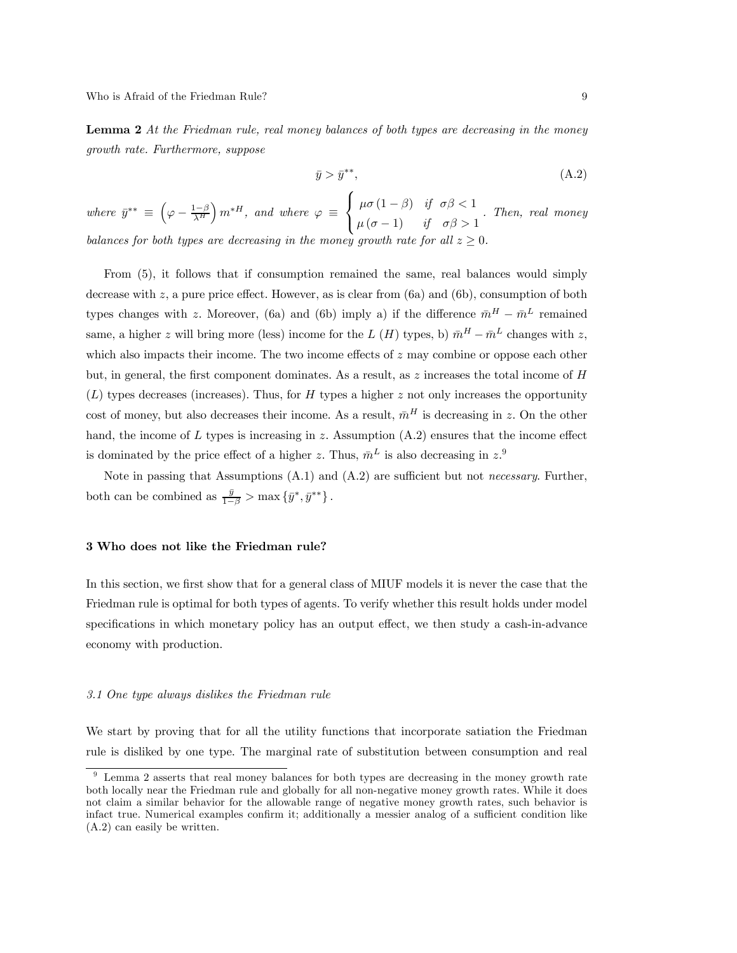**Lemma 2** At the Friedman rule, real money balances of both types are decreasing in the money growth rate. Furthermore, suppose

$$
\bar{y} > \bar{y}^{**},\tag{A.2}
$$

where  $\bar{y}^{**} \equiv \left(\varphi - \frac{1-\beta}{\lambda^H}\right)$  $\Bigl)$   $m^*$ <sup>H</sup>, and where  $\varphi \equiv$  $\Gamma$  $\frac{1}{2}$  $\mathsf{I}$  $\mu\sigma\left(1-\beta\right)$  if  $\sigma\beta<1$  $\mu(\sigma - 1)$  if  $\sigma\beta > 1$ . Then, real money balances for both types are decreasing in the money growth  $ra$ 

From (5), it follows that if consumption remained the same, real balances would simply decrease with z, a pure price effect. However, as is clear from  $(6a)$  and  $(6b)$ , consumption of both types changes with z. Moreover, (6a) and (6b) imply a) if the difference  $\bar{m}^H - \bar{m}^L$  remained same, a higher z will bring more (less) income for the L (H) types, b)  $\bar{m}^H - \bar{m}^L$  changes with z, which also impacts their income. The two income effects of  $z$  may combine or oppose each other but, in general, the first component dominates. As a result, as  $z$  increases the total income of  $H$  $(L)$  types decreases (increases). Thus, for H types a higher z not only increases the opportunity cost of money, but also decreases their income. As a result,  $\bar{m}^H$  is decreasing in z. On the other hand, the income of  $L$  types is increasing in  $z$ . Assumption  $(A.2)$  ensures that the income effect is dominated by the price effect of a higher z. Thus,  $\bar{m}^L$  is also decreasing in  $z^9$ .

Note in passing that Assumptions  $(A.1)$  and  $(A.2)$  are sufficient but not *necessary*. Further, both can be combined as  $\frac{\bar{y}}{1-\beta} > \max\{\bar{y}^*, \bar{y}^{**}\}.$ 

# 3 Who does not like the Friedman rule?

In this section, we first show that for a general class of MIUF models it is never the case that the Friedman rule is optimal for both types of agents. To verify whether this result holds under model specifications in which monetary policy has an output effect, we then study a cash-in-advance economy with production.

#### 3.1 One type always dislikes the Friedman rule

We start by proving that for all the utility functions that incorporate satiation the Friedman rule is disliked by one type. The marginal rate of substitution between consumption and real

<sup>&</sup>lt;sup>9</sup> Lemma 2 asserts that real money balances for both types are decreasing in the money growth rate both locally near the Friedman rule and globally for all non-negative money growth rates. While it does not claim a similar behavior for the allowable range of negative money growth rates, such behavior is infact true. Numerical examples confirm it; additionally a messier analog of a sufficient condition like (A.2) can easily be written.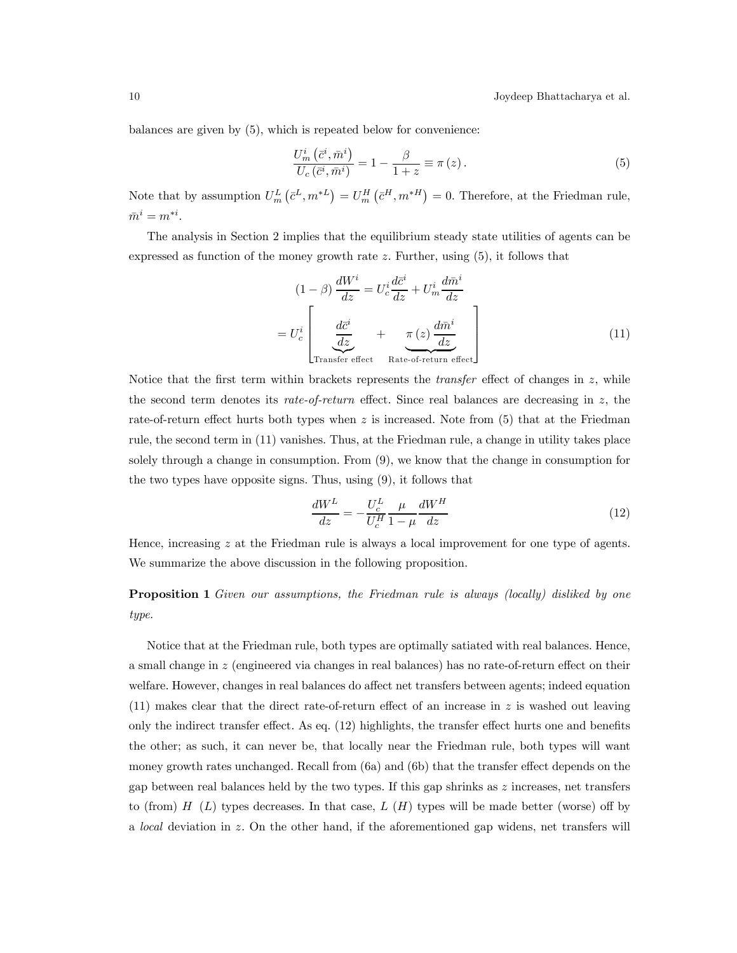balances are given by (5), which is repeated below for convenience:

$$
\frac{U_m^i(\bar{c}^i, \bar{m}^i)}{U_c(\bar{c}^i, \bar{m}^i)} = 1 - \frac{\beta}{1+z} \equiv \pi(z). \tag{5}
$$

Note that by assumption  $U_m^L(\bar{c}^L, m^{*L}) = U_m^H(\bar{c}^H, m^{*H}) = 0$ . Therefore, at the Friedman rule,  $\bar{m}^i = m^{*i}.$ 

The analysis in Section 2 implies that the equilibrium steady state utilities of agents can be expressed as function of the money growth rate  $z$ . Further, using  $(5)$ , it follows that

$$
(1 - \beta) \frac{dW^i}{dz} = U^i_c \frac{d\bar{c}^i}{dz} + U^i_m \frac{d\bar{m}^i}{dz}
$$

$$
= U^i_c \left[ \underbrace{\frac{d\bar{c}^i}{dz}}_{\text{Transfer effect}} + \underbrace{\pi(z) \frac{d\bar{m}^i}{dz}}_{\text{Rate-of-return effect}} \right] \tag{11}
$$

Notice that the first term within brackets represents the *transfer* effect of changes in  $z$ , while the second term denotes its rate-of-return effect. Since real balances are decreasing in  $z$ , the rate-of-return effect hurts both types when z is increased. Note from  $(5)$  that at the Friedman rule, the second term in (11) vanishes. Thus, at the Friedman rule, a change in utility takes place solely through a change in consumption. From (9), we know that the change in consumption for the two types have opposite signs. Thus, using (9), it follows that

$$
\frac{dW^L}{dz} = -\frac{U_c^L}{U_c^H} \frac{\mu}{1-\mu} \frac{dW^H}{dz} \tag{12}
$$

Hence, increasing  $z$  at the Friedman rule is always a local improvement for one type of agents. We summarize the above discussion in the following proposition.

Proposition 1 Given our assumptions, the Friedman rule is always (locally) disliked by one type.

Notice that at the Friedman rule, both types are optimally satiated with real balances. Hence, a small change in z (engineered via changes in real balances) has no rate-of-return effect on their welfare. However, changes in real balances do affect net transfers between agents; indeed equation  $(11)$  makes clear that the direct rate-of-return effect of an increase in z is washed out leaving only the indirect transfer effect. As eq. (12) highlights, the transfer effect hurts one and benefits the other; as such, it can never be, that locally near the Friedman rule, both types will want money growth rates unchanged. Recall from (6a) and (6b) that the transfer effect depends on the gap between real balances held by the two types. If this gap shrinks as  $z$  increases, net transfers to (from)  $H(L)$  types decreases. In that case,  $L(H)$  types will be made better (worse) off by a local deviation in z. On the other hand, if the aforementioned gap widens, net transfers will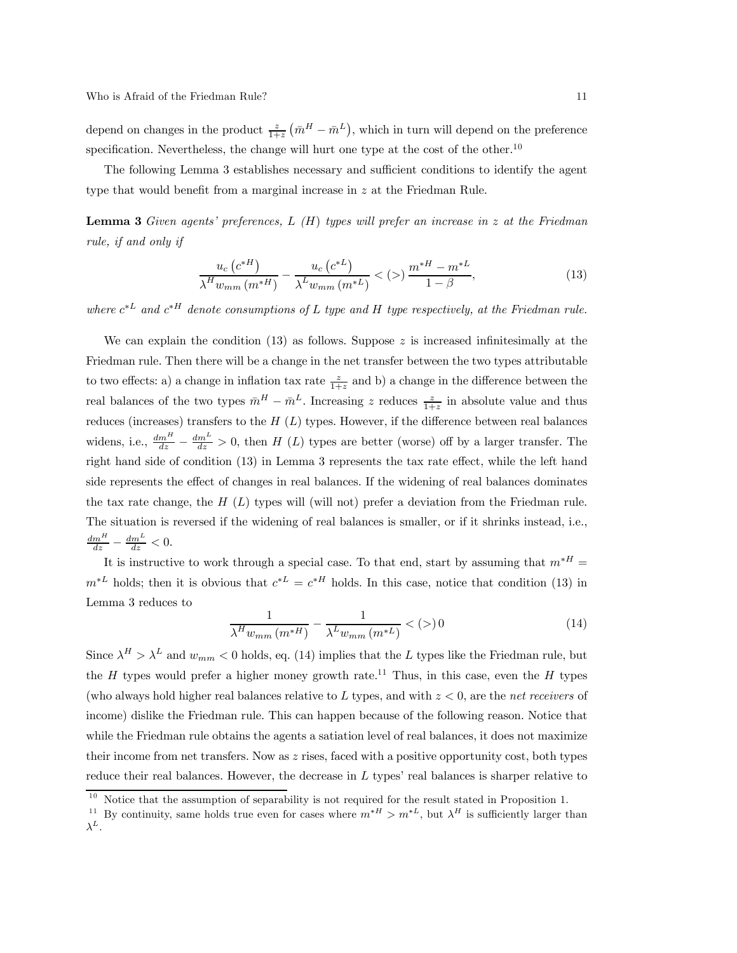depend on changes in the product  $\frac{z}{1+z}(\bar{m}^H - \bar{m}^L)$ , which in turn will depend on the preference specification. Nevertheless, the change will hurt one type at the cost of the other.<sup>10</sup>

The following Lemma 3 establishes necessary and sufficient conditions to identify the agent type that would benefit from a marginal increase in z at the Friedman Rule.

**Lemma 3** Given agents' preferences,  $L(H)$  types will prefer an increase in z at the Friedman rule, if and only if

$$
\frac{u_c (c^{*H})}{\lambda^H w_{mm} (m^{*H})} - \frac{u_c (c^{*L})}{\lambda^L w_{mm} (m^{*L})} < (>) \frac{m^{*H} - m^{*L}}{1 - \beta},\tag{13}
$$

where  $c^*$  and  $c^{*H}$  denote consumptions of L type and H type respectively, at the Friedman rule.

We can explain the condition  $(13)$  as follows. Suppose z is increased infinitesimally at the Friedman rule. Then there will be a change in the net transfer between the two types attributable to two effects: a) a change in inflation tax rate  $\frac{z}{1+z}$  and b) a change in the difference between the real balances of the two types  $\bar{m}^H - \bar{m}^L$ . Increasing z reduces  $\frac{z}{1+z}$  in absolute value and thus reduces (increases) transfers to the  $H(L)$  types. However, if the difference between real balances widens, i.e.,  $\frac{dm^H}{dz} - \frac{dm^L}{dz} > 0$ , then H (L) types are better (worse) off by a larger transfer. The right hand side of condition (13) in Lemma 3 represents the tax rate effect, while the left hand side represents the effect of changes in real balances. If the widening of real balances dominates the tax rate change, the  $H(L)$  types will (will not) prefer a deviation from the Friedman rule. The situation is reversed if the widening of real balances is smaller, or if it shrinks instead, i.e.,  $\frac{dm^H}{dz} - \frac{dm^L}{dz} < 0.$ 

It is instructive to work through a special case. To that end, start by assuming that  $m^*$  =  $m^*$  holds; then it is obvious that  $c^{*L} = c^{*H}$  holds. In this case, notice that condition (13) in Lemma 3 reduces to

$$
\frac{1}{\lambda^H w_{mm} (m^{*H})} - \frac{1}{\lambda^L w_{mm} (m^{*L})} < (>) 0 \tag{14}
$$

Since  $\lambda^H > \lambda^L$  and  $w_{mm} < 0$  holds, eq. (14) implies that the L types like the Friedman rule, but the H types would prefer a higher money growth rate.<sup>11</sup> Thus, in this case, even the H types (who always hold higher real balances relative to L types, and with  $z < 0$ , are the net receivers of income) dislike the Friedman rule. This can happen because of the following reason. Notice that while the Friedman rule obtains the agents a satiation level of real balances, it does not maximize their income from net transfers. Now as  $z$  rises, faced with a positive opportunity cost, both types reduce their real balances. However, the decrease in  $L$  types' real balances is sharper relative to

 $10$  Notice that the assumption of separability is not required for the result stated in Proposition 1.

<sup>&</sup>lt;sup>11</sup> By continuity, same holds true even for cases where  $m^{*H} > m^{*L}$ , but  $\lambda^H$  is sufficiently larger than

 $\lambda^L$ .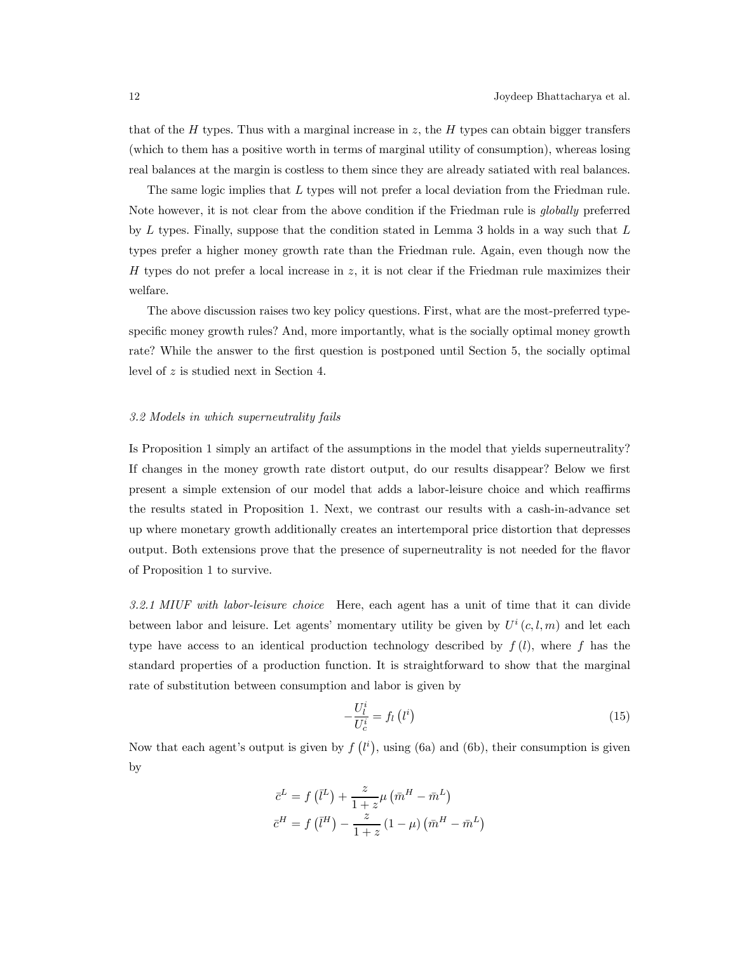that of the H types. Thus with a marginal increase in z, the H types can obtain bigger transfers (which to them has a positive worth in terms of marginal utility of consumption), whereas losing real balances at the margin is costless to them since they are already satiated with real balances.

The same logic implies that L types will not prefer a local deviation from the Friedman rule. Note however, it is not clear from the above condition if the Friedman rule is globally preferred by L types. Finally, suppose that the condition stated in Lemma 3 holds in a way such that L types prefer a higher money growth rate than the Friedman rule. Again, even though now the H types do not prefer a local increase in  $z$ , it is not clear if the Friedman rule maximizes their welfare.

The above discussion raises two key policy questions. First, what are the most-preferred typespecific money growth rules? And, more importantly, what is the socially optimal money growth rate? While the answer to the first question is postponed until Section 5, the socially optimal level of z is studied next in Section 4.

## 3.2 Models in which superneutrality fails

Is Proposition 1 simply an artifact of the assumptions in the model that yields superneutrality? If changes in the money growth rate distort output, do our results disappear? Below we first present a simple extension of our model that adds a labor-leisure choice and which reaffirms the results stated in Proposition 1. Next, we contrast our results with a cash-in-advance set up where monetary growth additionally creates an intertemporal price distortion that depresses output. Both extensions prove that the presence of superneutrality is not needed for the flavor of Proposition 1 to survive.

3.2.1 MIUF with labor-leisure choice Here, each agent has a unit of time that it can divide between labor and leisure. Let agents' momentary utility be given by  $U^i(c, l, m)$  and let each type have access to an identical production technology described by  $f(l)$ , where f has the standard properties of a production function. It is straightforward to show that the marginal rate of substitution between consumption and labor is given by

$$
-\frac{U_l^i}{U_c^i} = f_l(l^i)
$$
\n(15)

Now that each agent's output is given by  $f(l^i)$ , using (6a) and (6b), their consumption is given by

$$
\bar{c}^{L} = f\left(\bar{l}^{L}\right) + \frac{z}{1+z}\mu\left(\bar{m}^{H} - \bar{m}^{L}\right)
$$

$$
\bar{c}^{H} = f\left(\bar{l}^{H}\right) - \frac{z}{1+z}\left(1-\mu\right)\left(\bar{m}^{H} - \bar{m}^{L}\right)
$$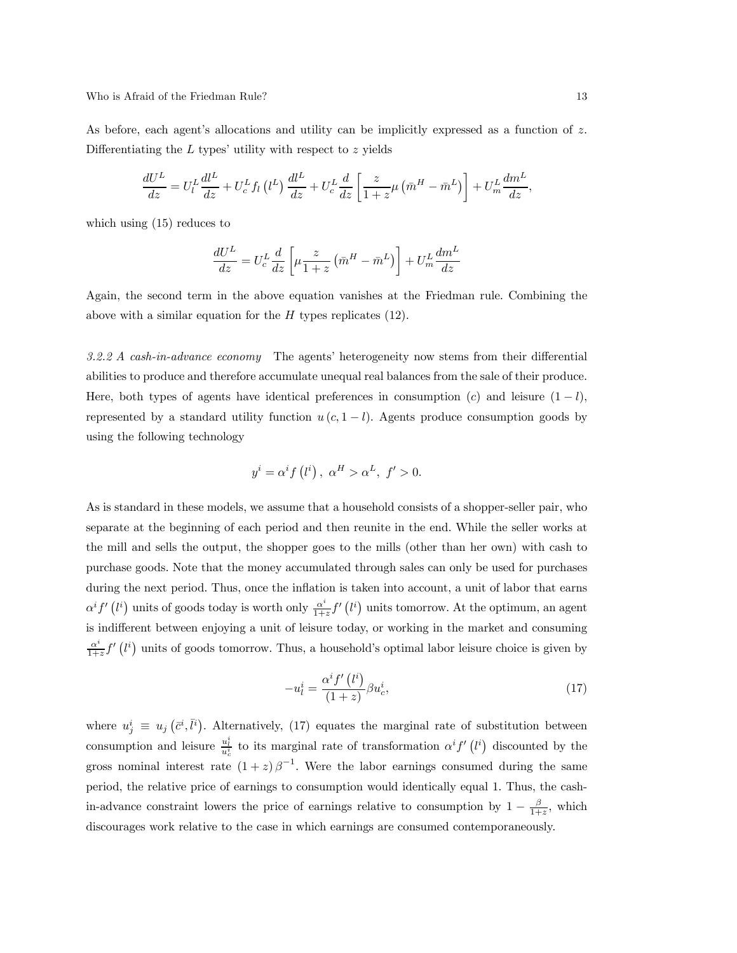Who is Afraid of the Friedman Rule? 13

As before, each agent's allocations and utility can be implicitly expressed as a function of z. Differentiating the  $L$  types' utility with respect to  $z$  yields

$$
\frac{dU^L}{dz} = U_l^L \frac{dl^L}{dz} + U_c^L f_l \left(l^L\right) \frac{dl^L}{dz} + U_c^L \frac{d}{dz} \left[\frac{z}{1+z} \mu \left(\bar{m}^H - \bar{m}^L\right)\right] + U_m^L \frac{dm^L}{dz},
$$

which using (15) reduces to

$$
\frac{dU^L}{dz} = U_c^L \frac{d}{dz} \left[ \mu \frac{z}{1+z} \left( \bar{m}^H - \bar{m}^L \right) \right] + U_m^L \frac{dm^L}{dz}
$$

Again, the second term in the above equation vanishes at the Friedman rule. Combining the above with a similar equation for the  $H$  types replicates (12).

3.2.2 A cash-in-advance economy The agents' heterogeneity now stems from their differential abilities to produce and therefore accumulate unequal real balances from the sale of their produce. Here, both types of agents have identical preferences in consumption (c) and leisure  $(1 - l)$ , represented by a standard utility function  $u(c, 1 - l)$ . Agents produce consumption goods by using the following technology

$$
y^{i} = \alpha^{i} f(l^{i}), \ \alpha^{H} > \alpha^{L}, \ f' > 0.
$$

As is standard in these models, we assume that a household consists of a shopper-seller pair, who separate at the beginning of each period and then reunite in the end. While the seller works at the mill and sells the output, the shopper goes to the mills (other than her own) with cash to purchase goods. Note that the money accumulated through sales can only be used for purchases during the next period. Thus, once the inflation is taken into account, a unit of labor that earns  $\alpha^{i} f' (l^{i})$  units of goods today is worth only  $\frac{\alpha^{i}}{1+z} f'(l^{i})$  units tomorrow. At the optimum, an agent is indifferent between enjoying a unit of leisure today, or working in the market and consuming  $\frac{\alpha^i}{1+z} f'(l^i)$  units of goods tomorrow. Thus, a household's optimal labor leisure choice is given by

$$
-u_l^i = \frac{\alpha^i f'(l^i)}{(1+z)} \beta u_c^i, \tag{17}
$$

where  $u_j^i \equiv u_j(\bar{c}^i, \bar{l}^i)$ . Alternatively, (17) equates the marginal rate of substitution between consumption and leisure  $\frac{u_i^i}{u_c^i}$  to its marginal rate of transformation  $\alpha^i f'(l^i)$  discounted by the gross nominal interest rate  $(1+z)\beta^{-1}$ . Were the labor earnings consumed during the same period, the relative price of earnings to consumption would identically equal 1. Thus, the cashin-advance constraint lowers the price of earnings relative to consumption by  $1 - \frac{\beta}{1+z}$ , which discourages work relative to the case in which earnings are consumed contemporaneously.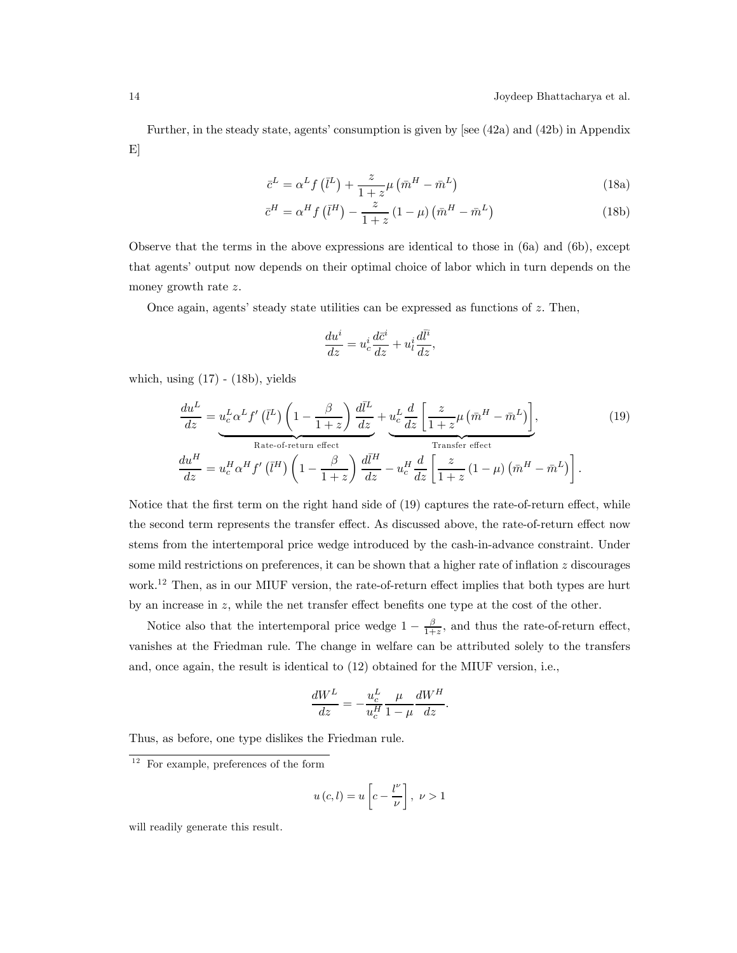Further, in the steady state, agents' consumption is given by [see (42a) and (42b) in Appendix E]

$$
\bar{c}^{L} = \alpha^{L} f\left(\bar{l}^{L}\right) + \frac{z}{1+z}\mu\left(\bar{m}^{H} - \bar{m}^{L}\right)
$$
\n(18a)

$$
\bar{c}^{H} = \alpha^{H} f\left(\bar{l}^{H}\right) - \frac{z}{1+z} \left(1-\mu\right) \left(\bar{m}^{H} - \bar{m}^{L}\right) \tag{18b}
$$

Observe that the terms in the above expressions are identical to those in (6a) and (6b), except that agents' output now depends on their optimal choice of labor which in turn depends on the money growth rate z.

Once again, agents' steady state utilities can be expressed as functions of  $z$ . Then,

$$
\frac{du^i}{dz} = u^i_c \frac{d\bar{c}^i}{dz} + u^i_l \frac{d\bar{l}^i}{dz},
$$

which, using  $(17)$  -  $(18b)$ , yields

$$
\frac{du^L}{dz} = u_c^L \alpha^L f' \left(\bar{l}^L\right) \left(1 - \frac{\beta}{1+z}\right) \frac{d\bar{l}^L}{dz} + u_c^L \frac{d}{dz} \left[\frac{z}{1+z} \mu \left(\bar{m}^H - \bar{m}^L\right)\right],
$$
\n
$$
\frac{du^H}{dz} = u_c^H \alpha^H f' \left(\bar{l}^H\right) \left(1 - \frac{\beta}{1+z}\right) \frac{d\bar{l}^H}{dz} - u_c^H \frac{d}{dz} \left[\frac{z}{1+z} \left(1 - \mu\right) \left(\bar{m}^H - \bar{m}^L\right)\right].
$$
\n(19)

Notice that the first term on the right hand side of (19) captures the rate-of-return effect, while the second term represents the transfer effect. As discussed above, the rate-of-return effect now stems from the intertemporal price wedge introduced by the cash-in-advance constraint. Under some mild restrictions on preferences, it can be shown that a higher rate of inflation  $z$  discourages work.12 Then, as in our MIUF version, the rate-of-return effect implies that both types are hurt by an increase in z, while the net transfer effect benefits one type at the cost of the other.

Notice also that the intertemporal price wedge  $1 - \frac{\beta}{1+z}$ , and thus the rate-of-return effect, vanishes at the Friedman rule. The change in welfare can be attributed solely to the transfers and, once again, the result is identical to (12) obtained for the MIUF version, i.e.,

$$
\frac{dW^L}{dz} = -\frac{u_c^L}{u_c^H} \frac{\mu}{1-\mu} \frac{dW^H}{dz}.
$$

Thus, as before, one type dislikes the Friedman rule.

$$
u(c,l) = u\left[c - \frac{l^{\nu}}{\nu}\right], \ \nu > 1
$$

will readily generate this result.

 $12$  For example, preferences of the form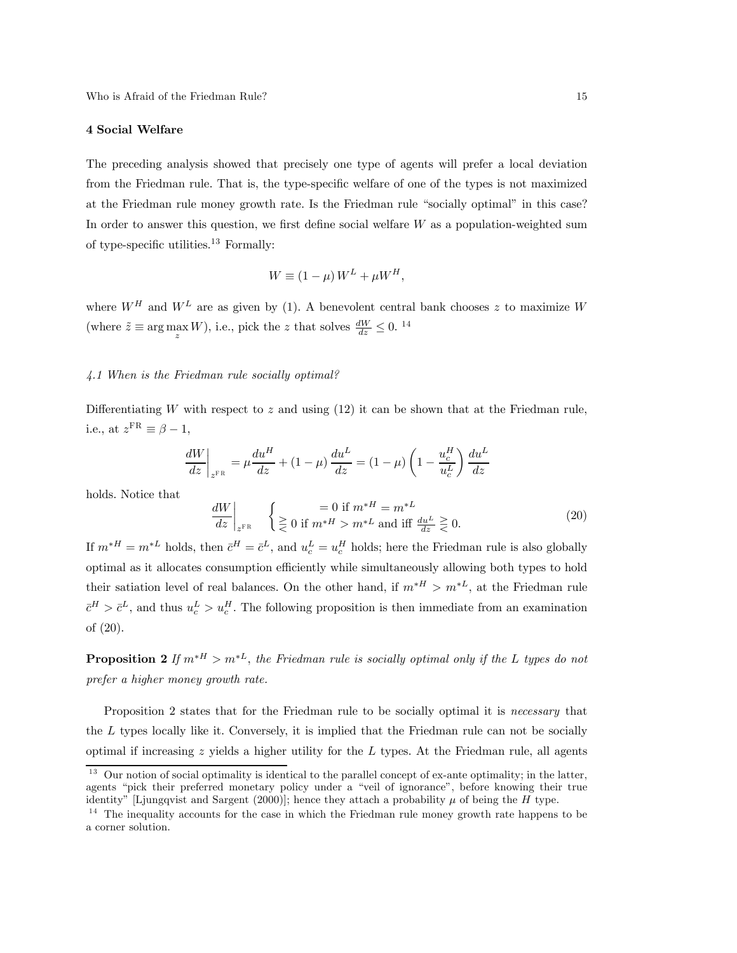#### 4 Social Welfare

The preceding analysis showed that precisely one type of agents will prefer a local deviation from the Friedman rule. That is, the type-specific welfare of one of the types is not maximized at the Friedman rule money growth rate. Is the Friedman rule "socially optimal" in this case? In order to answer this question, we first define social welfare  $W$  as a population-weighted sum of type-specific utilities.<sup>13</sup> Formally:

$$
W \equiv (1 - \mu) W^L + \mu W^H,
$$

where  $W^H$  and  $W^L$  are as given by (1). A benevolent central bank chooses z to maximize W (where  $\tilde{z} \equiv \arg \max_{z} W$ ), i.e., pick the z that solves  $\frac{dW}{dz} \leq 0$ . <sup>14</sup>

# 4.1 When is the Friedman rule socially optimal?

Differentiating W with respect to z and using  $(12)$  it can be shown that at the Friedman rule, i.e., at  $z^{\text{FR}} \equiv \beta - 1$ ,

$$
\left. \frac{dW}{dz} \right|_{z^{FR}} = \mu \frac{du^H}{dz} + (1 - \mu) \frac{du^L}{dz} = (1 - \mu) \left( 1 - \frac{u_c^H}{u_c^L} \right) \frac{du^L}{dz}
$$

holds. Notice that

$$
\left. \frac{dW}{dz} \right|_{z^{FR}} \quad \left\{ \begin{aligned} &= 0 \text{ if } m^{*H} = m^{*L} \\ &\geq 0 \text{ if } m^{*H} > m^{*L} \text{ and iff } \frac{du^L}{dz} \geq 0. \end{aligned} \right. \tag{20}
$$

If  $m^*H = m^*L$  holds, then  $\bar{c}^H = \bar{c}^L$ , and  $u_c^L = u_c^H$  holds; here the Friedman rule is also globally optimal as it allocates consumption efficiently while simultaneously allowing both types to hold their satiation level of real balances. On the other hand, if  $m^{*H} > m^{*L}$ , at the Friedman rule  $\bar{c}^H > \bar{c}^L$ , and thus  $u_c^L > u_c^H$ . The following proposition is then immediate from an examination of (20).

**Proposition 2** If  $m^*$ <sup>H</sup> >  $m^*$ <sup>L</sup>, the Friedman rule is socially optimal only if the L types do not prefer a higher money growth rate.

Proposition 2 states that for the Friedman rule to be socially optimal it is necessary that the  $L$  types locally like it. Conversely, it is implied that the Friedman rule can not be socially optimal if increasing  $z$  yields a higher utility for the  $L$  types. At the Friedman rule, all agents

<sup>&</sup>lt;sup>13</sup> Our notion of social optimality is identical to the parallel concept of ex-ante optimality; in the latter, agents "pick their preferred monetary policy under a "veil of ignorance", before knowing their true identity" [Ljungqvist and Sargent (2000)]; hence they attach a probability  $\mu$  of being the H type.

<sup>&</sup>lt;sup>14</sup> The inequality accounts for the case in which the Friedman rule money growth rate happens to be a corner solution.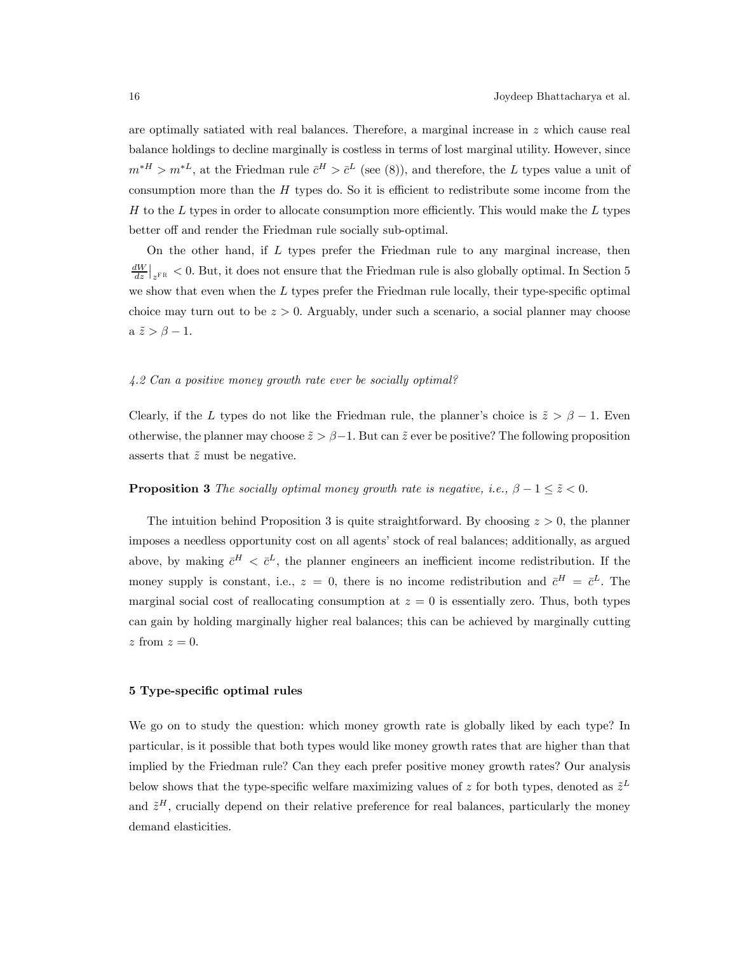are optimally satiated with real balances. Therefore, a marginal increase in z which cause real balance holdings to decline marginally is costless in terms of lost marginal utility. However, since  $m^*H > m^*L$ , at the Friedman rule  $\bar{c}^H > \bar{c}^L$  (see (8)), and therefore, the L types value a unit of consumption more than the  $H$  types do. So it is efficient to redistribute some income from the  $H$  to the L types in order to allocate consumption more efficiently. This would make the L types better off and render the Friedman rule socially sub-optimal.

On the other hand, if L types prefer the Friedman rule to any marginal increase, then  $\frac{dW}{dz}|_{z^{FR}} < 0$ . But, it does not ensure that the Friedman rule is also globally optimal. In Section 5 we show that even when the  $L$  types prefer the Friedman rule locally, their type-specific optimal choice may turn out to be  $z > 0$ . Arguably, under such a scenario, a social planner may choose a  $\tilde{z} > \beta - 1$ .

# 4.2 Can a positive money growth rate ever be socially optimal?

Clearly, if the L types do not like the Friedman rule, the planner's choice is  $\tilde{z} > \beta - 1$ . Even otherwise, the planner may choose  $\tilde{z} > \beta - 1$ . But can  $\tilde{z}$  ever be positive? The following proposition asserts that  $\tilde{z}$  must be negative.

# **Proposition 3** The socially optimal money growth rate is negative, i.e.,  $\beta - 1 \leq \tilde{z} < 0$ .

The intuition behind Proposition 3 is quite straightforward. By choosing  $z > 0$ , the planner imposes a needless opportunity cost on all agents' stock of real balances; additionally, as argued above, by making  $\bar{c}^H < \bar{c}^L$ , the planner engineers an inefficient income redistribution. If the money supply is constant, i.e.,  $z = 0$ , there is no income redistribution and  $\bar{c}^H = \bar{c}^L$ . The marginal social cost of reallocating consumption at  $z = 0$  is essentially zero. Thus, both types can gain by holding marginally higher real balances; this can be achieved by marginally cutting  $z$  from  $z = 0$ .

#### 5 Type-specific optimal rules

We go on to study the question: which money growth rate is globally liked by each type? In particular, is it possible that both types would like money growth rates that are higher than that implied by the Friedman rule? Can they each prefer positive money growth rates? Our analysis below shows that the type-specific welfare maximizing values of z for both types, denoted as  $\tilde{z}^L$ and  $\tilde{z}^H$ , crucially depend on their relative preference for real balances, particularly the money demand elasticities.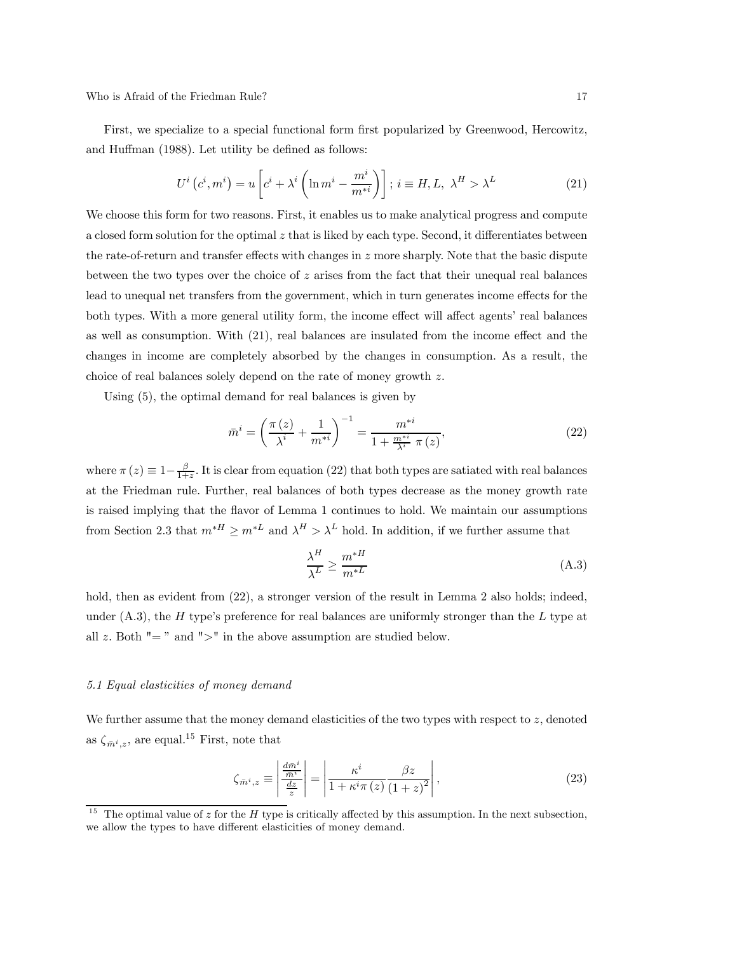Who is Afraid of the Friedman Rule? 17

First, we specialize to a special functional form first popularized by Greenwood, Hercowitz, and Huffman (1988). Let utility be defined as follows:

$$
U^{i}\left(c^{i},m^{i}\right) = u\left[c^{i} + \lambda^{i}\left(\ln m^{i} - \frac{m^{i}}{m^{*i}}\right)\right]; i \equiv H, L, \lambda^{H} > \lambda^{L}
$$
\n(21)

We choose this form for two reasons. First, it enables us to make analytical progress and compute a closed form solution for the optimal  $z$  that is liked by each type. Second, it differentiates between the rate-of-return and transfer effects with changes in  $z$  more sharply. Note that the basic dispute between the two types over the choice of  $z$  arises from the fact that their unequal real balances lead to unequal net transfers from the government, which in turn generates income effects for the both types. With a more general utility form, the income effect will affect agents' real balances as well as consumption. With (21), real balances are insulated from the income effect and the changes in income are completely absorbed by the changes in consumption. As a result, the choice of real balances solely depend on the rate of money growth z.

Using (5), the optimal demand for real balances is given by

$$
\bar{m}^{i} = \left(\frac{\pi(z)}{\lambda^{i}} + \frac{1}{m^{*i}}\right)^{-1} = \frac{m^{*i}}{1 + \frac{m^{*i}}{\lambda^{i}} \pi(z)},
$$
\n(22)

where  $\pi(z) \equiv 1-\frac{\beta}{1+z}$ . It is clear from equation (22) that both types are satiated with real balances at the Friedman rule. Further, real balances of both types decrease as the money growth rate is raised implying that the flavor of Lemma 1 continues to hold. We maintain our assumptions from Section 2.3 that  $m^*$  ≥  $m^*$  and  $\lambda^H > \lambda^L$  hold. In addition, if we further assume that

$$
\frac{\lambda^H}{\lambda^L} \ge \frac{m^{*H}}{m^{*L}}\tag{A.3}
$$

hold, then as evident from  $(22)$ , a stronger version of the result in Lemma 2 also holds; indeed, under  $(A.3)$ , the H type's preference for real balances are uniformly stronger than the L type at all z. Both  $" = "$  and  $" >"$  in the above assumption are studied below.

#### 5.1 Equal elasticities of money demand

We further assume that the money demand elasticities of the two types with respect to z, denoted as  $\zeta_{\bar{m}^i,z}$ , are equal.<sup>15</sup> First, note that

$$
\zeta_{\bar{m}^{i},z} \equiv \left| \frac{\frac{d\bar{m}^{i}}{\bar{m}^{i}}}{\frac{dz}{z}} \right| = \left| \frac{\kappa^{i}}{1 + \kappa^{i}\pi(z)} \frac{\beta z}{(1+z)^{2}} \right|,
$$
\n(23)

<sup>&</sup>lt;sup>15</sup> The optimal value of z for the H type is critically affected by this assumption. In the next subsection, we allow the types to have different elasticities of money demand.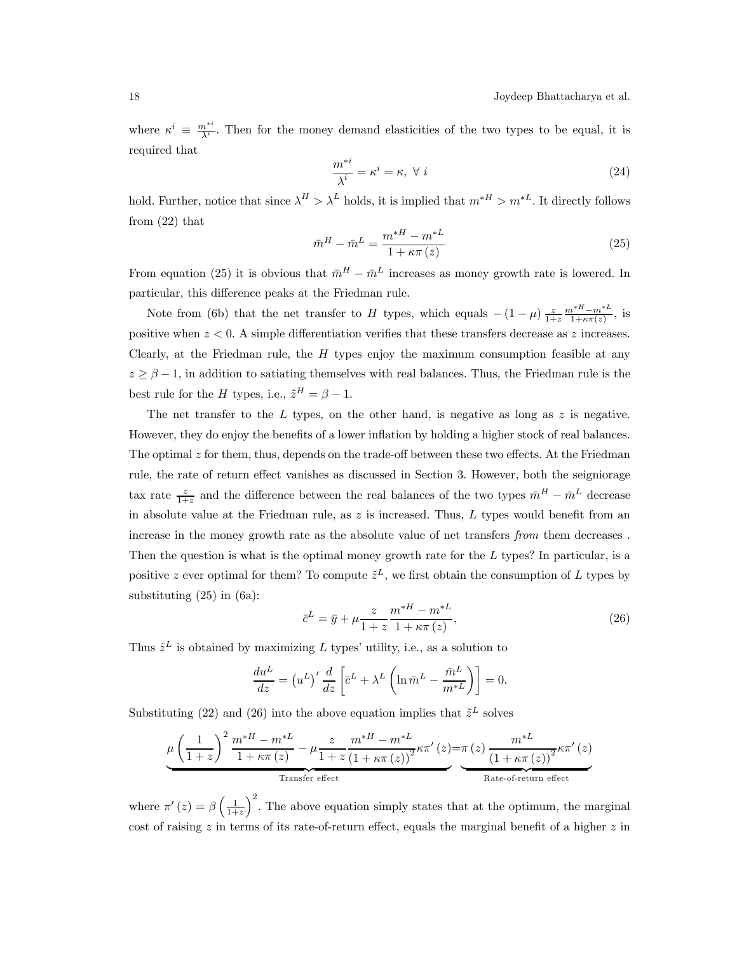where  $\kappa^i \equiv \frac{m^{*i}}{\lambda^i}$ . Then for the money demand elasticities of the two types to be equal, it is required that

$$
\frac{m^{*i}}{\lambda^i} = \kappa^i = \kappa, \ \forall \ i \tag{24}
$$

hold. Further, notice that since  $\lambda^H > \lambda^L$  holds, it is implied that  $m^{*H} > m^{*L}$ . It directly follows from (22) that

$$
\bar{m}^{H} - \bar{m}^{L} = \frac{m^{*H} - m^{*L}}{1 + \kappa \pi (z)}
$$
\n(25)

From equation (25) it is obvious that  $\bar{m}^H - \bar{m}^L$  increases as money growth rate is lowered. In particular, this difference peaks at the Friedman rule.

Note from (6b) that the net transfer to H types, which equals  $-(1-\mu)\frac{z}{1+z}\frac{m^{*H}-m^{*L}}{1+\kappa\pi(z)}$ , is positive when  $z < 0$ . A simple differentiation verifies that these transfers decrease as z increases. Clearly, at the Friedman rule, the  $H$  types enjoy the maximum consumption feasible at any  $z \geq \beta - 1$ , in addition to satiating themselves with real balances. Thus, the Friedman rule is the best rule for the H types, i.e.,  $\tilde{z}^H = \beta - 1$ .

The net transfer to the  $L$  types, on the other hand, is negative as long as  $z$  is negative. However, they do enjoy the benefits of a lower inflation by holding a higher stock of real balances. The optimal z for them, thus, depends on the trade-off between these two effects. At the Friedman rule, the rate of return effect vanishes as discussed in Section 3. However, both the seigniorage tax rate  $\frac{z}{1+z}$  and the difference between the real balances of the two types  $\bar{m}^H - \bar{m}^L$  decrease in absolute value at the Friedman rule, as  $z$  is increased. Thus,  $L$  types would benefit from an increase in the money growth rate as the absolute value of net transfers from them decreases . Then the question is what is the optimal money growth rate for the L types? In particular, is a positive z ever optimal for them? To compute  $\tilde{z}^L$ , we first obtain the consumption of L types by substituting (25) in (6a):

$$
\bar{c}^{L} = \bar{y} + \mu \frac{z}{1+z} \frac{m^{*H} - m^{*L}}{1 + \kappa \pi (z)},
$$
\n(26)

Thus  $\tilde{z}^L$  is obtained by maximizing L types' utility, i.e., as a solution to

$$
\frac{du^L}{dz} = (u^L)' \frac{d}{dz} \left[ \bar{c}^L + \lambda^L \left( \ln \bar{m}^L - \frac{\bar{m}^L}{m^*L} \right) \right] = 0.
$$

Substituting (22) and (26) into the above equation implies that  $\tilde{z}^L$  solves

$$
\underbrace{\mu\left(\frac{1}{1+z}\right)^2\frac{m^{*H}-m^{*L}}{1+\kappa\pi(z)}-\mu\frac{z}{1+z}\frac{m^{*H}-m^{*L}}{\left(1+\kappa\pi(z)\right)^2}\kappa\pi'\left(z\right)}_{\text{Transfer effect}} - \underbrace{\frac{m^{*L}}{\left(1+\kappa\pi(z)\right)^2}\kappa\pi'\left(z\right)}_{\text{Rate-of-return effect}}
$$

where  $\pi'(z) = \beta \left(\frac{1}{1+z}\right)$  $\int_{0}^{2}$ . The above equation simply states that at the optimum, the marginal cost of raising  $z$  in terms of its rate-of-return effect, equals the marginal benefit of a higher  $z$  in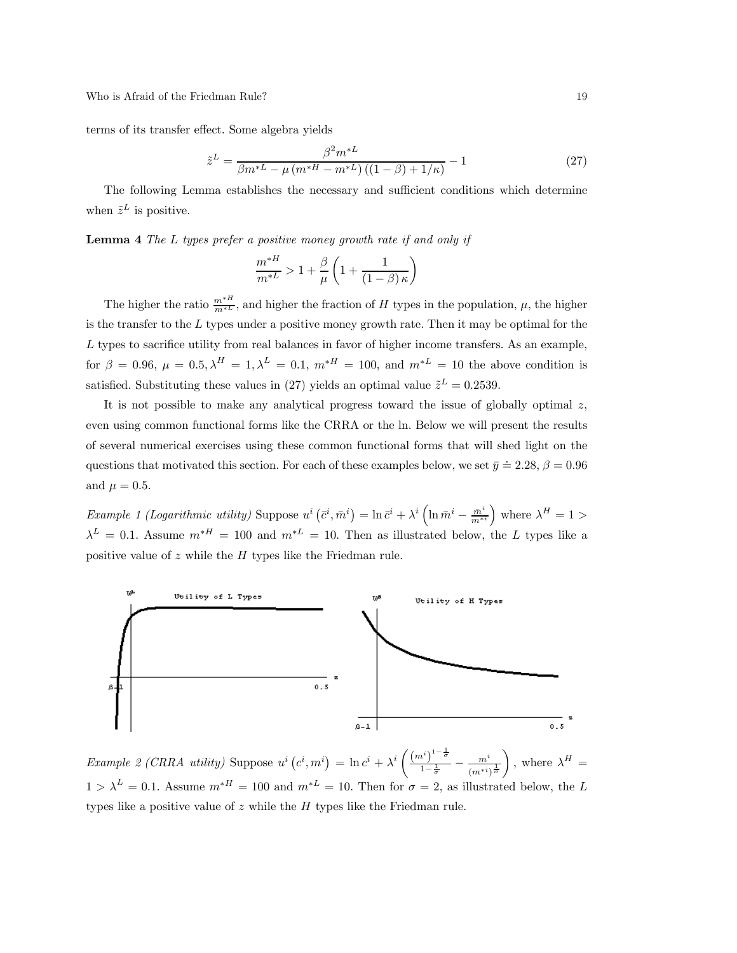terms of its transfer effect. Some algebra yields

$$
\tilde{z}^{L} = \frac{\beta^{2} m^{*L}}{\beta m^{*L} - \mu \left( m^{*H} - m^{*L} \right) \left( (1 - \beta) + 1/\kappa \right)} - 1 \tag{27}
$$

The following Lemma establishes the necessary and sufficient conditions which determine when  $\tilde{z}^L$  is positive.

Lemma 4 The L types prefer a positive money growth rate if and only if

$$
\frac{m^{*H}}{m^{*L}} > 1 + \frac{\beta}{\mu} \left( 1 + \frac{1}{(1-\beta)\kappa} \right)
$$

The higher the ratio  $\frac{m^{*H}}{m^{*L}}$ , and higher the fraction of H types in the population,  $\mu$ , the higher is the transfer to the  $L$  types under a positive money growth rate. Then it may be optimal for the L types to sacrifice utility from real balances in favor of higher income transfers. As an example, for  $\beta = 0.96$ ,  $\mu = 0.5$ ,  $\lambda^H = 1$ ,  $\lambda^L = 0.1$ ,  $m^*$  = 100, and  $m^*$  = 10 the above condition is satisfied. Substituting these values in (27) yields an optimal value  $\tilde{z}^L = 0.2539$ .

It is not possible to make any analytical progress toward the issue of globally optimal  $z$ , even using common functional forms like the CRRA or the ln. Below we will present the results of several numerical exercises using these common functional forms that will shed light on the questions that motivated this section. For each of these examples below, we set  $\bar{y} \doteq 2.28$ ,  $\beta = 0.96$ and  $\mu = 0.5$ .

Example 1 (Logarithmic utility) Suppose  $u^i\left(\bar{c}^i, \bar{m}^i\right) = \ln \bar{c}^i + \lambda^i\left(\ln \bar{m}^i - \frac{\bar{m}^i}{m^{*i}}\right)$ ) where  $\lambda^H = 1 >$  $\lambda^L = 0.1$ . Assume  $m^*$  = 100 and  $m^*$  = 10. Then as illustrated below, the L types like a positive value of  $z$  while the  $H$  types like the Friedman rule.



Example 2 (CRRA utility) Suppose  $u^i(c^i, m^i) = \ln c^i + \lambda^i \left( \frac{(m^i)^{1-\frac{1}{\sigma^i}}}{1-\frac{1}{\sigma^i}} \right)$  $\frac{n^i}{1-\frac{1}{\sigma}}^{\sigma} - \frac{m^i}{(m^{*i})^{\frac{1}{\sigma}}}$  $\Big)$ , where  $\lambda^H =$  $1 > \lambda^L = 0.1$ . Assume  $m^{*H} = 100$  and  $m^{*L} = 10$ . Then for  $\sigma = 2$ , as illustrated below, the L types like a positive value of  $z$  while the  $H$  types like the Friedman rule.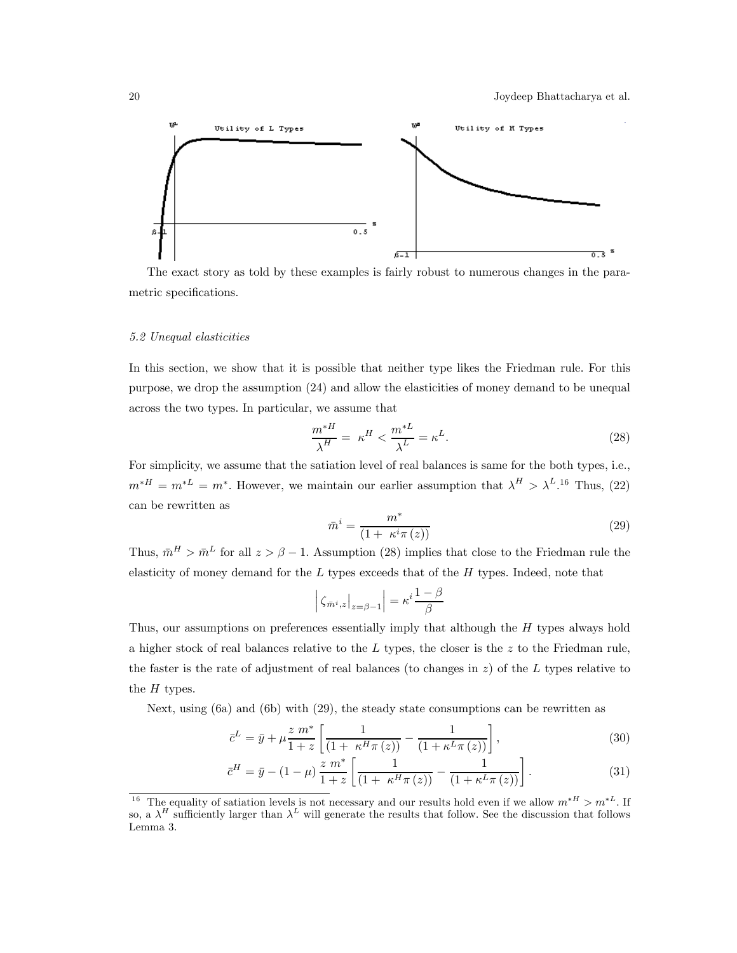

The exact story as told by these examples is fairly robust to numerous changes in the parametric specifications.

### 5.2 Unequal elasticities

In this section, we show that it is possible that neither type likes the Friedman rule. For this purpose, we drop the assumption (24) and allow the elasticities of money demand to be unequal across the two types. In particular, we assume that

$$
\frac{m^*H}{\lambda^H} = \kappa^H < \frac{m^*L}{\lambda^L} = \kappa^L. \tag{28}
$$

For simplicity, we assume that the satiation level of real balances is same for the both types, i.e.,  $m^*H = m^*L = m^*$ . However, we maintain our earlier assumption that  $\lambda^H > \lambda^L.$ <sup>16</sup> Thus, (22) can be rewritten as

$$
\bar{m}^i = \frac{m^*}{\left(1 + \kappa^i \pi\left(z\right)\right)}\tag{29}
$$

Thus,  $\bar{m}^H > \bar{m}^L$  for all  $z > \beta - 1$ . Assumption (28) implies that close to the Friedman rule the elasticity of money demand for the  $L$  types exceeds that of the  $H$  types. Indeed, note that

$$
\left| \zeta_{\bar{m}^i, z} \right|_{z = \beta - 1} = \kappa^i \frac{1 - \beta}{\beta}
$$

Thus, our assumptions on preferences essentially imply that although the H types always hold a higher stock of real balances relative to the  $L$  types, the closer is the  $z$  to the Friedman rule, the faster is the rate of adjustment of real balances (to changes in  $z$ ) of the L types relative to the  $H$  types.

Next, using (6a) and (6b) with (29), the steady state consumptions can be rewritten as

$$
\bar{c}^{L} = \bar{y} + \mu \frac{z \ m^{*}}{1+z} \left[ \frac{1}{(1 + \kappa^{H} \pi(z))} - \frac{1}{(1 + \kappa^{L} \pi(z))} \right],
$$
\n(30)

$$
\bar{c}^{H} = \bar{y} - (1 - \mu) \frac{z m^{*}}{1 + z} \left[ \frac{1}{(1 + \kappa^{H} \pi(z))} - \frac{1}{(1 + \kappa^{L} \pi(z))} \right].
$$
\n(31)

<sup>&</sup>lt;sup>16</sup> The equality of satiation levels is not necessary and our results hold even if we allow  $m^{*H} > m^{*L}$ . If so, a  $\lambda^H$  sufficiently larger than  $\lambda^L$  will generate the results that follow. See the discussion that follows Lemma 3.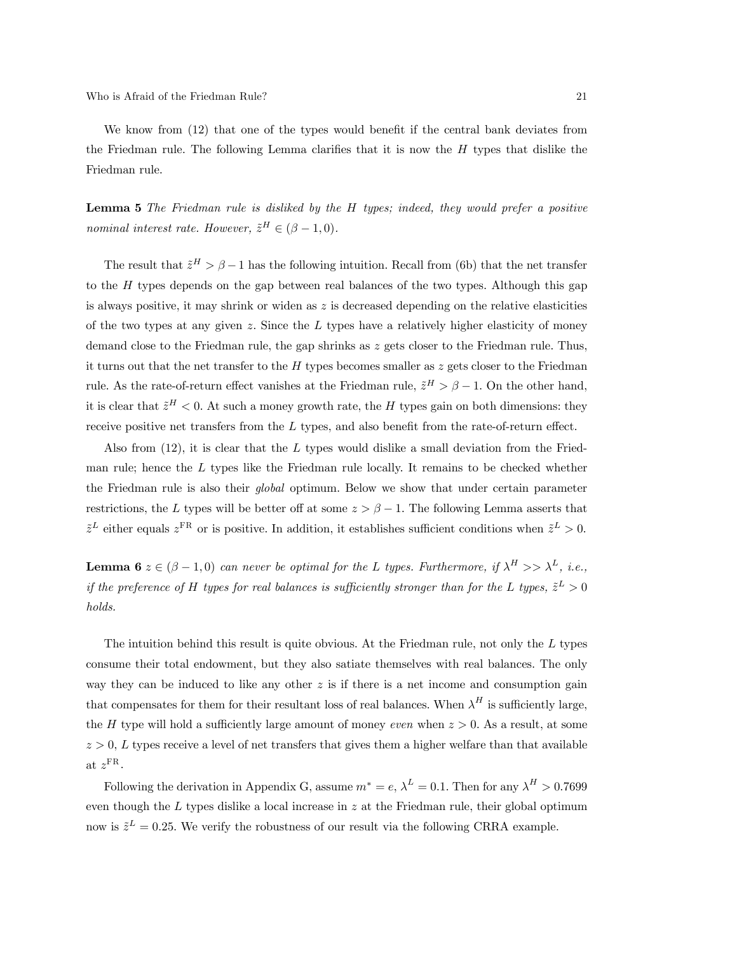We know from (12) that one of the types would benefit if the central bank deviates from the Friedman rule. The following Lemma clarifies that it is now the  $H$  types that dislike the Friedman rule.

Lemma 5 The Friedman rule is disliked by the H types; indeed, they would prefer a positive nominal interest rate. However,  $\tilde{z}^H \in (\beta - 1, 0)$ .

The result that  $\tilde{z}^H > \beta - 1$  has the following intuition. Recall from (6b) that the net transfer to the  $H$  types depends on the gap between real balances of the two types. Although this gap is always positive, it may shrink or widen as  $z$  is decreased depending on the relative elasticities of the two types at any given z. Since the  $L$  types have a relatively higher elasticity of money demand close to the Friedman rule, the gap shrinks as z gets closer to the Friedman rule. Thus, it turns out that the net transfer to the H types becomes smaller as  $z$  gets closer to the Friedman rule. As the rate-of-return effect vanishes at the Friedman rule,  $\tilde{z}^H > \beta - 1$ . On the other hand, it is clear that  $\tilde{z}^H < 0$ . At such a money growth rate, the H types gain on both dimensions: they receive positive net transfers from the  $L$  types, and also benefit from the rate-of-return effect.

Also from  $(12)$ , it is clear that the L types would dislike a small deviation from the Friedman rule; hence the  $L$  types like the Friedman rule locally. It remains to be checked whether the Friedman rule is also their global optimum. Below we show that under certain parameter restrictions, the L types will be better off at some  $z>\beta-1$ . The following Lemma asserts that  $\tilde{z}^L$  either equals  $z^{\text{FR}}$  or is positive. In addition, it establishes sufficient conditions when  $\tilde{z}^L > 0$ .

**Lemma 6**  $z \in (\beta - 1, 0)$  can never be optimal for the L types. Furthermore, if  $\lambda^H >> \lambda^L$ , i.e., if the preference of H types for real balances is sufficiently stronger than for the L types,  $\tilde{z}^L > 0$ holds.

The intuition behind this result is quite obvious. At the Friedman rule, not only the  $L$  types consume their total endowment, but they also satiate themselves with real balances. The only way they can be induced to like any other  $z$  is if there is a net income and consumption gain that compensates for them for their resultant loss of real balances. When  $\lambda^H$  is sufficiently large, the H type will hold a sufficiently large amount of money even when  $z > 0$ . As a result, at some  $z > 0$ , L types receive a level of net transfers that gives them a higher welfare than that available at  $z^{\text{FR}}$ .

Following the derivation in Appendix G, assume  $m^* = e$ ,  $\lambda^L = 0.1$ . Then for any  $\lambda^H > 0.7699$ even though the  $L$  types dislike a local increase in  $z$  at the Friedman rule, their global optimum now is  $\tilde{z}^L = 0.25$ . We verify the robustness of our result via the following CRRA example.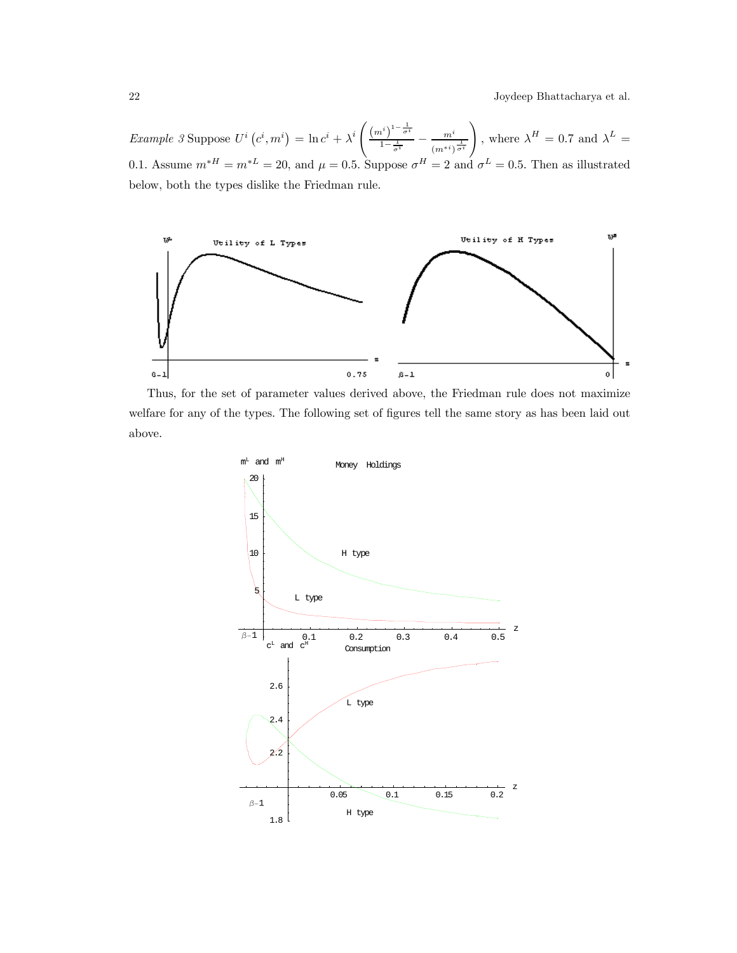22 Joydeep Bhattacharya et al.

Example 3 Suppose  $U^i(c^i, m^i) = \ln c^i + \lambda^i$  $\left( \left( m^{i}\right) ^{1-\frac{1}{\sigma ^{i}}} \right)$  $\frac{n^i}{1-\frac{1}{\sigma^i}}-\frac{m^i}{(m^{*i})^{\frac{1}{\sigma^i}}}$ ! , where  $\lambda^H = 0.7$  and  $\lambda^L =$ 0.1. Assume  $m^*H = m^*L = 20$ , and  $\mu = 0.5$ . Suppose  $\sigma^H = 2$  and  $\sigma^L = 0.5$ . Then as illustrated below, both the types dislike the Friedman rule.



Thus, for the set of parameter values derived above, the Friedman rule does not maximize welfare for any of the types. The following set of figures tell the same story as has been laid out above.

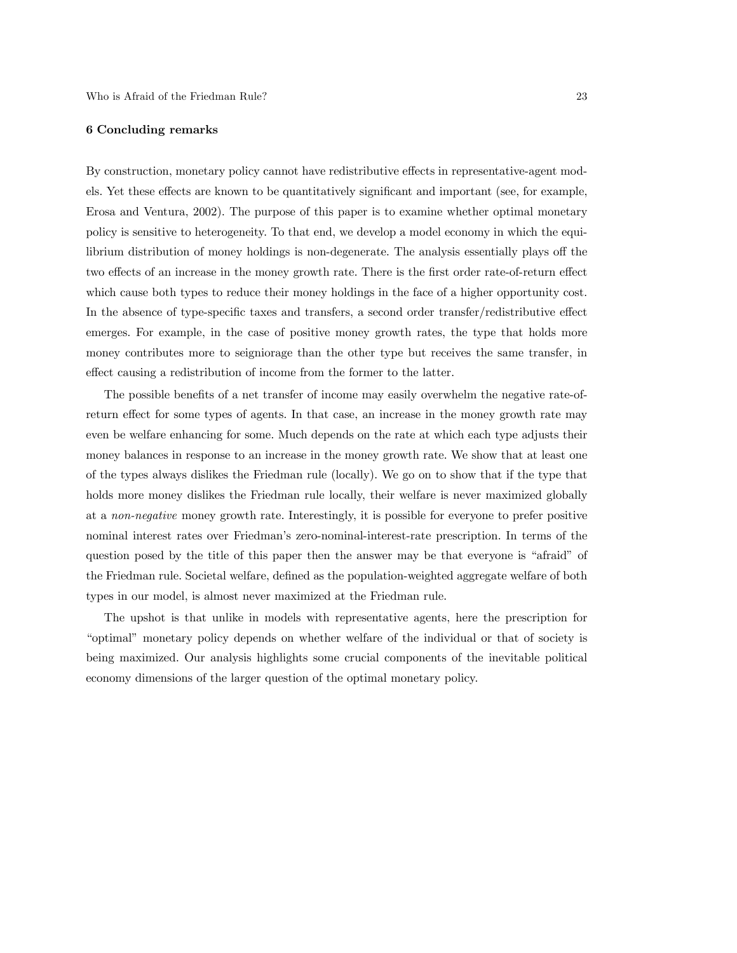#### 6 Concluding remarks

By construction, monetary policy cannot have redistributive effects in representative-agent models. Yet these effects are known to be quantitatively significant and important (see, for example, Erosa and Ventura, 2002). The purpose of this paper is to examine whether optimal monetary policy is sensitive to heterogeneity. To that end, we develop a model economy in which the equilibrium distribution of money holdings is non-degenerate. The analysis essentially plays off the two effects of an increase in the money growth rate. There is the first order rate-of-return effect which cause both types to reduce their money holdings in the face of a higher opportunity cost. In the absence of type-specific taxes and transfers, a second order transfer/redistributive effect emerges. For example, in the case of positive money growth rates, the type that holds more money contributes more to seigniorage than the other type but receives the same transfer, in effect causing a redistribution of income from the former to the latter.

The possible benefits of a net transfer of income may easily overwhelm the negative rate-ofreturn effect for some types of agents. In that case, an increase in the money growth rate may even be welfare enhancing for some. Much depends on the rate at which each type adjusts their money balances in response to an increase in the money growth rate. We show that at least one of the types always dislikes the Friedman rule (locally). We go on to show that if the type that holds more money dislikes the Friedman rule locally, their welfare is never maximized globally at a non-negative money growth rate. Interestingly, it is possible for everyone to prefer positive nominal interest rates over Friedman's zero-nominal-interest-rate prescription. In terms of the question posed by the title of this paper then the answer may be that everyone is "afraid" of the Friedman rule. Societal welfare, defined as the population-weighted aggregate welfare of both types in our model, is almost never maximized at the Friedman rule.

The upshot is that unlike in models with representative agents, here the prescription for "optimal" monetary policy depends on whether welfare of the individual or that of society is being maximized. Our analysis highlights some crucial components of the inevitable political economy dimensions of the larger question of the optimal monetary policy.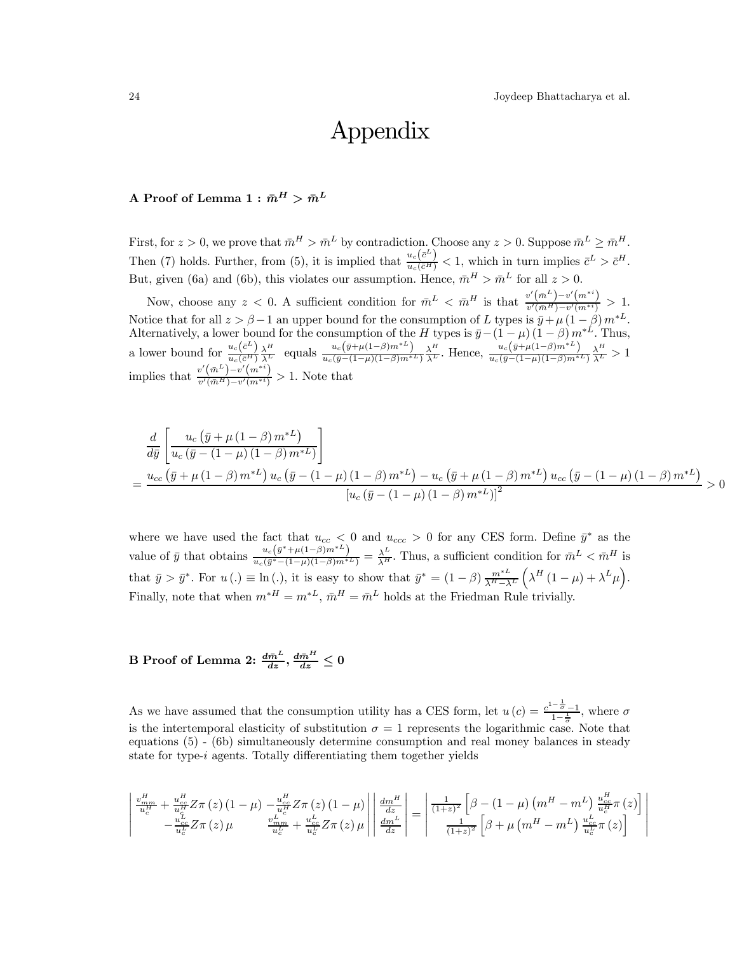# Appendix

# A Proof of Lemma  $1 : \bar{m}^H > \bar{m}^L$

First, for  $z > 0$ , we prove that  $\bar{m}^H > \bar{m}^L$  by contradiction. Choose any  $z > 0$ . Suppose  $\bar{m}^L \geq \bar{m}^H$ . Then (7) holds. Further, from (5), it is implied that  $\frac{u_c(\bar{c}^L)}{u_c(\bar{c}^H)} < 1$ , which in turn implies  $\bar{c}^L > \bar{c}^H$ . But, given (6a) and (6b), this violates our assumption. Hence,  $\bar{m}^H > \bar{m}^L$  for all  $z > 0$ .

Now, choose any  $z < 0$ . A sufficient condition for  $\bar{m}^L < \bar{m}^H$  is that  $\frac{v'(\bar{m}^L) - v'(m^{*})}{v'(\bar{m}^H) - v'(m^{*})} > 1$ . Notice that for all  $z>\beta-1$  an upper bound for the consumption of L types is  $\bar{y}+\mu(1-\beta)m^*L$ . Alternatively, a lower bound for the consumption of the H types is  $\bar{y}$ −(1 −  $\mu$ ) (1 −  $\beta$ ) m<sup>∗L</sup>. Thus, a lower bound for  $\frac{u_c(\bar{c}^L)}{u_c(\bar{c}^H)} \frac{\lambda^H}{\lambda^L}$  equals  $\frac{u_c(\bar{y}+\mu(1-\beta)m^*L)}{u_c(\bar{y}-(1-\mu)(1-\beta)m^*L)} \frac{\lambda^H}{\lambda^L}$ . Hence,  $\frac{u_c(\bar{y}+\mu(1-\beta)m^*L)}{u_c(\bar{y}-(1-\mu)(1-\beta)m^*L)} \frac{\lambda^H}{\lambda^L} > 1$ implies that  $\frac{v'(\bar{m}^L)-v'(m^{*i})}{v'(\bar{m}^H)-v'(m^{*i})} > 1$ . Note that

$$
\frac{d}{d\bar{y}} \left[ \frac{u_c (\bar{y} + \mu (1 - \beta) m^{*L})}{u_c (\bar{y} - (1 - \mu) (1 - \beta) m^{*L})} \right]
$$
\n
$$
= \frac{u_{cc} (\bar{y} + \mu (1 - \beta) m^{*L}) u_c (\bar{y} - (1 - \mu) (1 - \beta) m^{*L}) - u_c (\bar{y} + \mu (1 - \beta) m^{*L}) u_{cc} (\bar{y} - (1 - \mu) (1 - \beta) m^{*L})}{[u_c (\bar{y} - (1 - \mu) (1 - \beta) m^{*L})]^2} > 0
$$

where we have used the fact that  $u_{cc} < 0$  and  $u_{ccc} > 0$  for any CES form. Define  $\bar{y}^*$  as the value of  $\bar{y}$  that obtains  $\frac{u_c(\bar{y}^*+\mu(1-\beta)m^*L)}{u_c(\bar{y}^*-(1-\mu)(1-\beta)m^*L)} = \frac{\lambda^L}{\lambda^H}$ . Thus, a sufficient condition for  $\bar{m}^L < \bar{m}^H$  is that  $\bar{y} > \bar{y}^*$ . For  $u(.) \equiv \ln(.)$ , it is easy to show that  $\bar{y}^* = (1 - \beta) \frac{m^{*L}}{\lambda^H - \lambda^L}$  $\left(\lambda^{H}\left(1-\mu\right)+\lambda^{L}\mu\right).$ Finally, note that when  $m^*H = m^*L$ ,  $\bar{m}^H = \bar{m}^L$  holds at the Friedman Rule trivially.

# B Proof of Lemma 2:  $\frac{d\bar{m}^L}{dz}, \frac{d\bar{m}^H}{dz} \leq 0$

As we have assumed that the consumption utility has a CES form, let  $u(c) = \frac{c^{1-\frac{1}{\sigma}}-1}{1-\frac{1}{\sigma}}$ , where  $\sigma$ is the intertemporal elasticity of substitution  $\sigma = 1$  represents the logarithmic case. Note that equations (5) - (6b) simultaneously determine consumption and real money balances in steady state for type-i agents. Totally differentiating them together yields

$$
\begin{vmatrix} \frac{v_{mm}^H}{u_c^H} + \frac{u_{cc}^H}{u_c^H} Z \pi(z) (1 - \mu) - \frac{u_{cc}^H}{u_c^H} Z \pi(z) (1 - \mu) \end{vmatrix} \begin{vmatrix} \frac{dm^H}{dz} \\ \frac{dm^H}{dz} \end{vmatrix} = \begin{vmatrix} \frac{1}{(1+z)^2} \left[ \beta - (1 - \mu) \left( m^H - m^L \right) \frac{u_{cc}^H}{u_c^H} \pi(z) \right] \\ \frac{u_{cc}^L}{u_c^L} Z \pi(z) \mu \end{vmatrix}
$$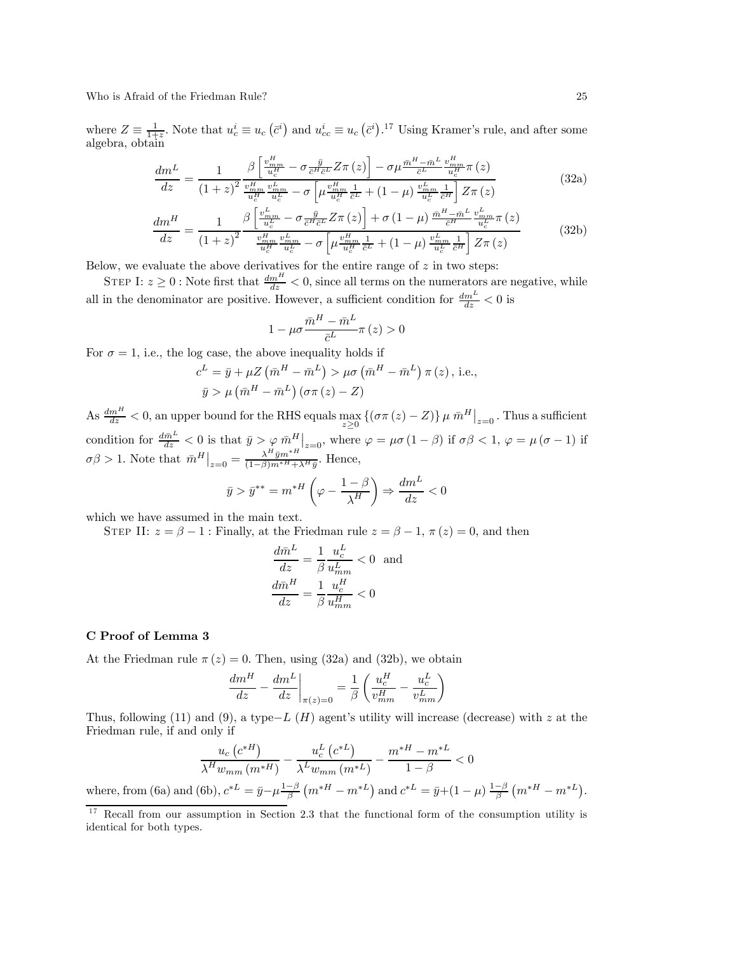Who is Afraid of the Friedman Rule? 25

where  $Z \equiv \frac{1}{1+z}$ . Note that  $u_c^i \equiv u_c (\bar{c}^i)$  and  $u_{cc}^i \equiv u_c (\bar{c}^i)$ .<sup>17</sup> Using Kramer's rule, and after some algebra, obtain

$$
\frac{dm^L}{dz} = \frac{1}{\left(1+z\right)^2} \frac{\beta \left[\frac{v_{mm}^H}{u_c^H} - \sigma \frac{\bar{y}}{c^H c^L} Z \pi\left(z\right)\right] - \sigma \mu \frac{\bar{m}^H - \bar{m}^L}{c^L} \frac{v_{mm}^H}{u_c^H} \pi\left(z\right)}{\left(1+z\right)^2 \frac{v_{mm}^H v_{mm}^L}{u_c^H} - \sigma \left[\mu \frac{v_{mm}^H}{u_c^H} \frac{1}{\bar{c}^L} + \left(1-\mu\right) \frac{v_{mm}^L}{u_c^L} \frac{1}{\bar{c}^H}\right] Z \pi\left(z\right)}\tag{32a}
$$

$$
\frac{dm^H}{dz} = \frac{1}{\left(1+z\right)^2} \frac{\beta \left[\frac{v_{mm}^L}{u_c^L} - \sigma \frac{\bar{y}}{c^H \bar{c}^L} Z \pi\left(z\right)\right] + \sigma \left(1-\mu\right) \frac{\bar{m}^H - \bar{m}^L}{\bar{c}^H} \frac{v_{mm}^L}{u_c^L} \pi\left(z\right)}{\frac{v_{mm}^H}{u_c^H} \frac{v_{mm}^L}{u_c^L} - \sigma \left[\mu \frac{v_{mm}^H}{u_c^H} \frac{1}{\bar{c}^L} + \left(1-\mu\right) \frac{v_{mm}^L}{u_c^L} \frac{1}{\bar{c}^H}\right] Z \pi\left(z\right)}\tag{32b}
$$

Below, we evaluate the above derivatives for the entire range of  $z$  in two steps:

STEP I:  $z \geq 0$ : Note first that  $\frac{dm^H}{dz} < 0$ , since all terms on the numerators are negative, while all in the denominator are positive. However, a sufficient condition for  $\frac{dm^L}{dz} < 0$  is

$$
1 - \mu \sigma \frac{\bar{m}^H - \bar{m}^L}{\bar{c}^L} \pi(z) > 0
$$

For  $\sigma = 1$ , i.e., the log case, the above inequality holds if

$$
c^{L} = \bar{y} + \mu Z \left( \bar{m}^{H} - \bar{m}^{L} \right) > \mu \sigma \left( \bar{m}^{H} - \bar{m}^{L} \right) \pi (z), \text{ i.e.,}
$$
  

$$
\bar{y} > \mu \left( \bar{m}^{H} - \bar{m}^{L} \right) \left( \sigma \pi (z) - Z \right)
$$

As  $\frac{dm^H}{dz} < 0$ , an upper bound for the RHS equals  $\max_{z \geq 0} \{ (\sigma \pi(z) - Z) \} \mu \bar{m}^H \big|_{z=0}$ . Thus a sufficient condition for  $\frac{d\bar{m}^L}{dz} < 0$  is that  $\bar{y} > \varphi \bar{m}^H|_{z=0}$ , where  $\varphi = \mu \sigma (1-\beta)$  if  $\sigma\beta < 1$ ,  $\varphi = \mu (\sigma - 1)$  if  $\sigma\beta > 1$ . Note that  $\bar{m}^H\big|_{z=0} = \frac{\lambda^H \bar{y}m^{*H}}{(1-\beta)m^{*H}+\lambda^H\bar{y}}$ . Hence,

$$
\bar{y} > \bar{y}^{**} = m^{*H} \left( \varphi - \frac{1 - \beta}{\lambda^H} \right) \Rightarrow \frac{dm^L}{dz} < 0
$$

which we have assumed in the main text.

STEP II:  $z = \beta - 1$ : Finally, at the Friedman rule  $z = \beta - 1$ ,  $\pi(z) = 0$ , and then

$$
\frac{d\bar{m}^L}{dz} = \frac{1}{\beta} \frac{u_c^L}{u_{mm}^L} < 0
$$
 and  

$$
\frac{d\bar{m}^H}{dz} = \frac{1}{\beta} \frac{u_c^H}{u_{mm}^H} < 0
$$

# C Proof of Lemma 3

At the Friedman rule  $\pi(z)=0$ . Then, using (32a) and (32b), we obtain

$$
\frac{dm^H}{dz} - \frac{dm^L}{dz}\bigg|_{\pi(z)=0} = \frac{1}{\beta} \left( \frac{u_c^H}{v_{mm}^H} - \frac{u_c^L}{v_{mm}^L} \right)
$$

Thus, following (11) and (9), a type−L (H) agent's utility will increase (decrease) with z at the Friedman rule, if and only if

$$
\frac{u_c\left(c^{*H}\right)}{\lambda^H w_{mm}\left(m^{*H}\right)} - \frac{u_c^L\left(c^{*L}\right)}{\lambda^L w_{mm}\left(m^{*L}\right)} - \frac{m^{*H} - m^{*L}}{1 - \beta} < 0
$$
  
where, from (6a) and (6b),  $c^{*L} = \bar{y} - \mu \frac{1 - \beta}{\beta} \left(m^{*H} - m^{*L}\right)$  and  $c^{*L} = \bar{y} + (1 - \mu) \frac{1 - \beta}{\beta} \left(m^{*H} - m^{*L}\right)$ .

 $17$  Recall from our assumption in Section 2.3 that the functional form of the consumption utility is identical for both types.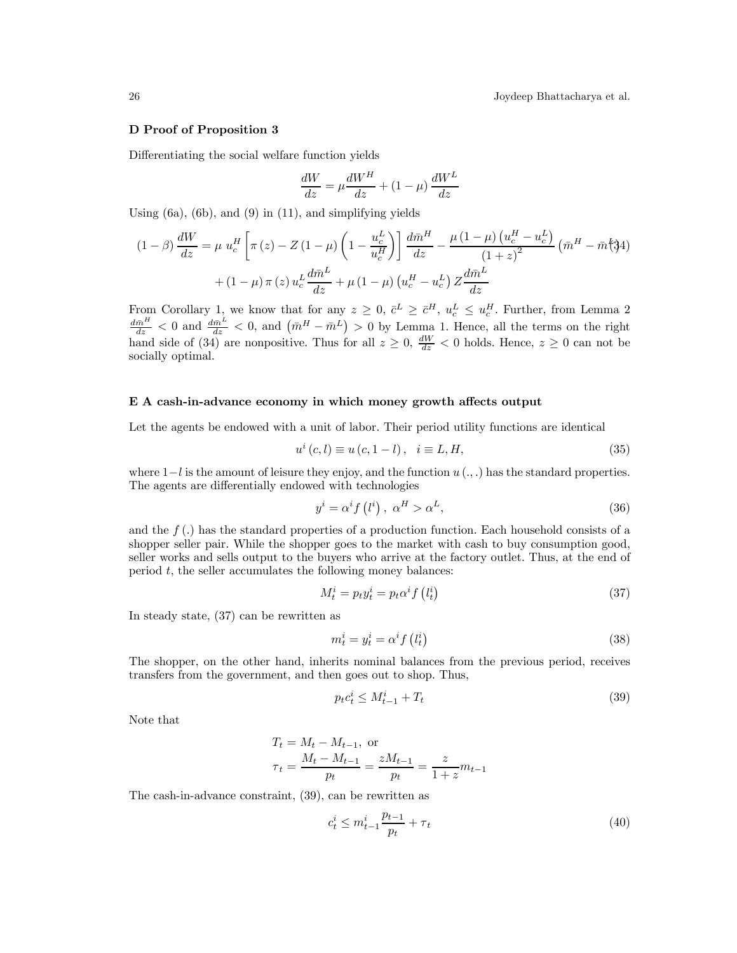26 Joydeep Bhattacharya et al.

#### D Proof of Proposition 3

Differentiating the social welfare function yields

$$
\frac{dW}{dz} = \mu \frac{dW^H}{dz} + (1 - \mu) \frac{dW^L}{dz}
$$

Using  $(6a)$ ,  $(6b)$ , and  $(9)$  in  $(11)$ , and simplifying yields

$$
(1 - \beta) \frac{dW}{dz} = \mu u_c^H \left[ \pi (z) - Z (1 - \mu) \left( 1 - \frac{u_c^L}{u_c^H} \right) \right] \frac{d\bar{m}^H}{dz} - \frac{\mu (1 - \mu) \left( u_c^H - u_c^L \right)}{\left( 1 + z \right)^2} \left( \bar{m}^H - \bar{m} \right)
$$

$$
+ (1 - \mu) \pi (z) u_c^L \frac{d\bar{m}^L}{dz} + \mu (1 - \mu) \left( u_c^H - u_c^L \right) Z \frac{d\bar{m}^L}{dz}
$$

From Corollary 1, we know that for any  $z \geq 0$ ,  $\bar{c}^L \geq \bar{c}^H$ ,  $u_c^L \leq u_c^H$ . Further, from Lemma 2<br> $\frac{d\bar{m}^H}{dz} < 0$  and  $\left(\bar{m}^H - \bar{m}^L\right) > 0$  by Lemma 1. Hence, all the terms on the right hand side of (34) are nonpositive. Thus for all  $z \ge 0$ ,  $\frac{dW}{dz} < 0$  holds. Hence,  $z \ge 0$  can not be socially optimal.

# E A cash-in-advance economy in which money growth affects output

Let the agents be endowed with a unit of labor. Their period utility functions are identical

$$
u^{i}(c, l) \equiv u(c, 1-l), i \equiv L, H,
$$
 (35)

where  $1-l$  is the amount of leisure they enjoy, and the function  $u(\ldots)$  has the standard properties. The agents are differentially endowed with technologies

$$
y^{i} = \alpha^{i} f(l^{i}), \ \alpha^{H} > \alpha^{L}, \tag{36}
$$

and the  $f(.)$  has the standard properties of a production function. Each household consists of a shopper seller pair. While the shopper goes to the market with cash to buy consumption good, seller works and sells output to the buyers who arrive at the factory outlet. Thus, at the end of period  $t$ , the seller accumulates the following money balances:

$$
M_t^i = p_t y_t^i = p_t \alpha^i f(l_t^i)
$$
\n(37)

In steady state, (37) can be rewritten as

$$
m_t^i = y_t^i = \alpha^i f(l_t^i) \tag{38}
$$

The shopper, on the other hand, inherits nominal balances from the previous period, receives transfers from the government, and then goes out to shop. Thus,

$$
p_t c_t^i \le M_{t-1}^i + T_t \tag{39}
$$

Note that

$$
T_t = M_t - M_{t-1}, \text{ or}
$$
  

$$
\tau_t = \frac{M_t - M_{t-1}}{p_t} = \frac{zM_{t-1}}{p_t} = \frac{z}{1+z}m_{t-1}
$$

The cash-in-advance constraint, (39), can be rewritten as

$$
c_t^i \le m_{t-1}^i \frac{p_{t-1}}{p_t} + \tau_t \tag{40}
$$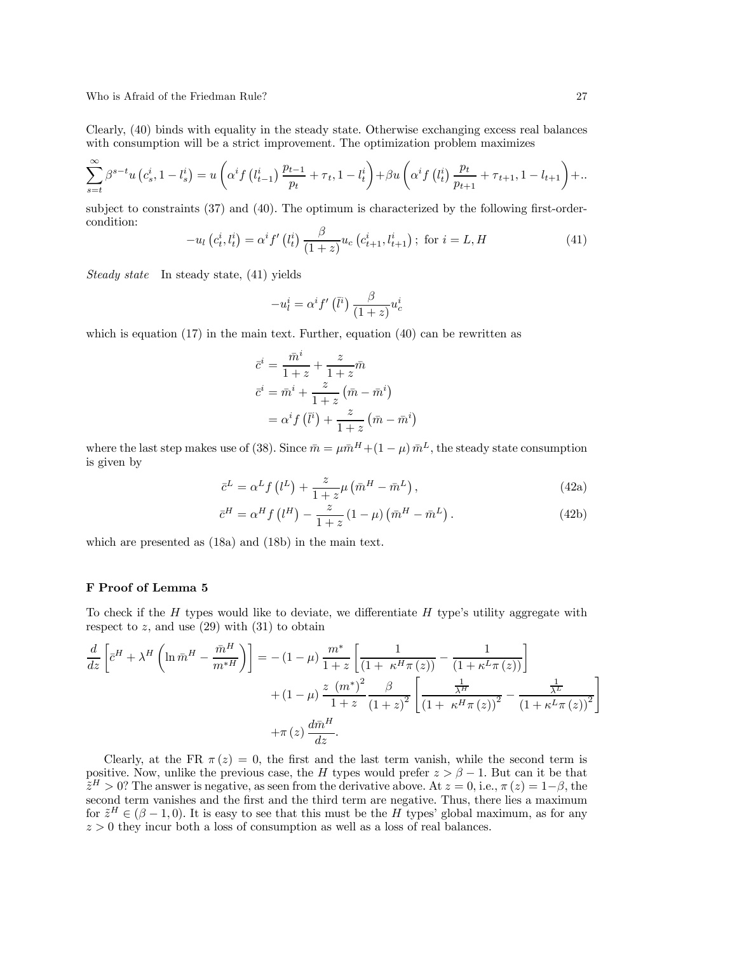Who is Afraid of the Friedman Rule? 27

Clearly, (40) binds with equality in the steady state. Otherwise exchanging excess real balances with consumption will be a strict improvement. The optimization problem maximizes

$$
\sum_{s=t}^{\infty} \beta^{s-t} u(c_s^i, 1 - l_s^i) = u\left(\alpha^i f(l_{t-1}^i) \frac{p_{t-1}}{p_t} + \tau_t, 1 - l_t^i\right) + \beta u\left(\alpha^i f(l_t^i) \frac{p_t}{p_{t+1}} + \tau_{t+1}, 1 - l_{t+1}\right) + \dots
$$

subject to constraints (37) and (40). The optimum is characterized by the following first-ordercondition:

$$
-u_{l}\left(c_{t}^{i}, l_{t}^{i}\right)=\alpha^{i} f'\left(l_{t}^{i}\right) \frac{\beta}{(1+z)} u_{c}\left(c_{t+1}^{i}, l_{t+1}^{i}\right); \text{ for } i=L, H
$$
\n(41)

Steady state In steady state, (41) yields

$$
-u_{l}^{i}=\alpha^{i}f'\left(\bar{l}^{i}\right)\frac{\beta}{\left(1+z\right)}u_{c}^{i}
$$

which is equation  $(17)$  in the main text. Further, equation  $(40)$  can be rewritten as

$$
\bar{c}^i = \frac{\bar{m}^i}{1+z} + \frac{z}{1+z}\bar{m}
$$

$$
\bar{c}^i = \bar{m}^i + \frac{z}{1+z}(\bar{m} - \bar{m}^i)
$$

$$
= \alpha^i f(\bar{l}^i) + \frac{z}{1+z}(\bar{m} - \bar{m}^i)
$$

where the last step makes use of (38). Since  $\bar{m} = \mu \bar{m}^H + (1 - \mu) \bar{m}^L$ , the steady state consumption is given by

$$
\bar{c}^{L} = \alpha^{L} f(l^{L}) + \frac{z}{1+z} \mu (\bar{m}^{H} - \bar{m}^{L}), \qquad (42a)
$$

$$
\bar{c}^{H} = \alpha^{H} f(l^{H}) - \frac{z}{1+z} (1-\mu) (\bar{m}^{H} - \bar{m}^{L}).
$$
\n(42b)

which are presented as (18a) and (18b) in the main text.

# F Proof of Lemma 5

To check if the  $H$  types would like to deviate, we differentiate  $H$  type's utility aggregate with respect to  $z$ , and use  $(29)$  with  $(31)$  to obtain

$$
\frac{d}{dz}\left[\bar{c}^H + \lambda^H \left(\ln \bar{m}^H - \frac{\bar{m}^H}{m^*H}\right)\right] = -(1-\mu)\frac{m^*}{1+z}\left[\frac{1}{\left(1+\kappa^H\pi(z)\right)} - \frac{1}{\left(1+\kappa^L\pi(z)\right)}\right] \n+ (1-\mu)\frac{z(m^*)^2}{1+z}\frac{\beta}{\left(1+z\right)^2}\left[\frac{\frac{1}{\lambda^H}}{\left(1+\kappa^H\pi(z)\right)^2} - \frac{\frac{1}{\lambda^L}}{\left(1+\kappa^L\pi(z)\right)^2}\right] \n+ \pi(z)\frac{d\bar{m}^H}{dz}.
$$

Clearly, at the FR  $\pi(z)=0$ , the first and the last term vanish, while the second term is positive. Now, unlike the previous case, the H types would prefer  $z>\beta-1$ . But can it be that  $\tilde{z}^H > 0$ ? The answer is negative, as seen from the derivative above. At  $z = 0$ , i.e.,  $\pi(z) = 1-\beta$ , the second term vanishes and the first and the third term are negative. Thus, there lies a maximum for  $\tilde{z}^H \in (\beta - 1, 0)$ . It is easy to see that this must be the H types' global maximum, as for any  $z > 0$  they incur both a loss of consumption as well as a loss of real balances.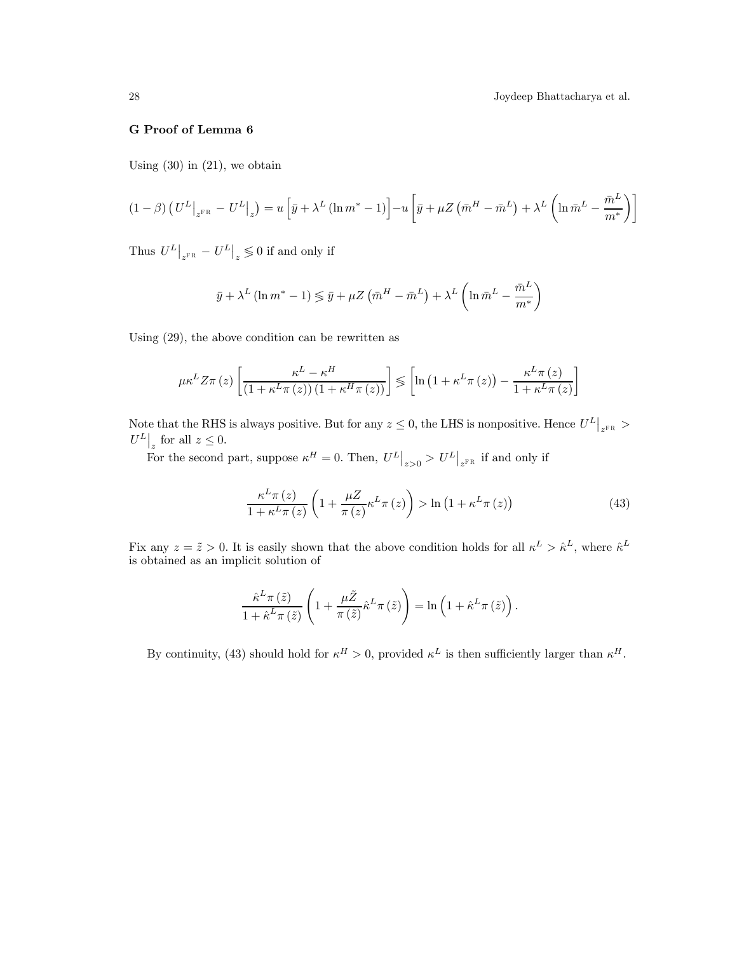# G Proof of Lemma 6

Using  $(30)$  in  $(21)$ , we obtain

$$
(1 - \beta) \left( U^L \big|_{z^{FR}} - U^L \big|_{z} \right) = u \left[ \bar{y} + \lambda^L (\ln m^* - 1) \right] - u \left[ \bar{y} + \mu Z \left( \bar{m}^H - \bar{m}^L \right) + \lambda^L \left( \ln \bar{m}^L - \frac{\bar{m}^L}{m^*} \right) \right]
$$

Thus  $U^L\big|_{z^{\text{FR}}} - U^L\big|_z \lessgtr 0$  if and only if

$$
\bar{y} + \lambda^{L} (\ln m^{*} - 1) \leq \bar{y} + \mu Z (\bar{m}^{H} - \bar{m}^{L}) + \lambda^{L} (\ln \bar{m}^{L} - \frac{\bar{m}^{L}}{m^{*}})
$$

Using (29), the above condition can be rewritten as

$$
\mu \kappa^{L} Z \pi(z) \left[ \frac{\kappa^{L} - \kappa^{H}}{(1 + \kappa^{L} \pi(z)) (1 + \kappa^{H} \pi(z))} \right] \leq \left[ \ln \left( 1 + \kappa^{L} \pi(z) \right) - \frac{\kappa^{L} \pi(z)}{1 + \kappa^{L} \pi(z)} \right]
$$

Note that the RHS is always positive. But for any  $z \le 0$ , the LHS is nonpositive. Hence  $U^L\big|_{z^{FR}} >$  $U^L\big|_z$  for all  $z \leq 0$ .

For the second part, suppose  $\kappa^H = 0$ . Then,  $U^L \big|_{z>0} > U^L \big|_{z^{FR}}$  if and only if

$$
\frac{\kappa^L \pi(z)}{1 + \kappa^L \pi(z)} \left( 1 + \frac{\mu Z}{\pi(z)} \kappa^L \pi(z) \right) > \ln \left( 1 + \kappa^L \pi(z) \right) \tag{43}
$$

Fix any  $z = \tilde{z} > 0$ . It is easily shown that the above condition holds for all  $\kappa^L > \hat{\kappa}^L$ , where  $\hat{\kappa}^L$ is obtained as an implicit solution of

$$
\frac{\hat{\kappa}^{L}\pi\left(\tilde{z}\right)}{1+\hat{\kappa}^{L}\pi\left(\tilde{z}\right)}\left(1+\frac{\mu\tilde{Z}}{\pi\left(\tilde{z}\right)}\hat{\kappa}^{L}\pi\left(\tilde{z}\right)\right)=\ln\left(1+\hat{\kappa}^{L}\pi\left(\tilde{z}\right)\right).
$$

By continuity, (43) should hold for  $\kappa^H > 0$ , provided  $\kappa^L$  is then sufficiently larger than  $\kappa^H$ .